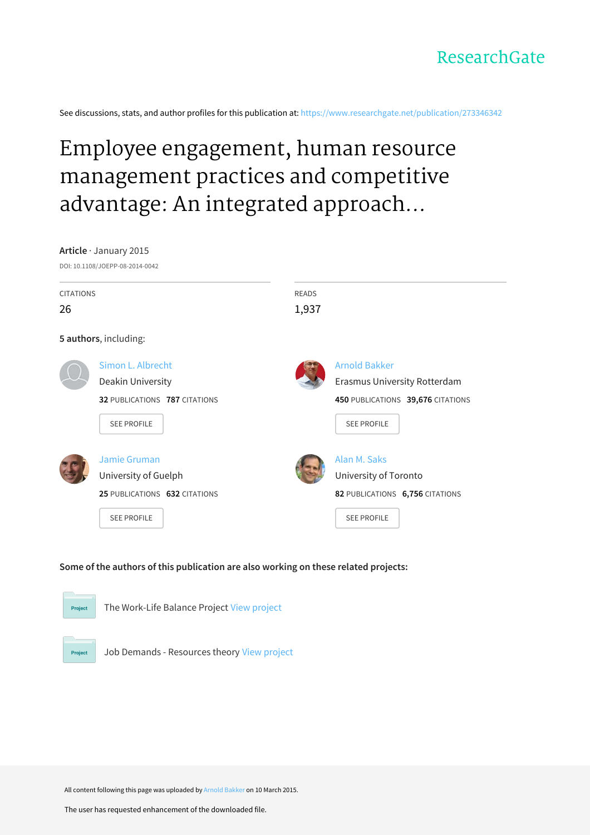See discussions, stats, and author profiles for this publication at: [https://www.researchgate.net/publication/273346342](https://www.researchgate.net/publication/273346342_Employee_engagement_human_resource_management_practices_and_competitive_advantage_An_integrated_approach_Journal_of_Organizational_Effectiveness_People_and_Performance?enrichId=rgreq-e5b4e63d71e2c04ae0ae40cd269e653f-XXX&enrichSource=Y292ZXJQYWdlOzI3MzM0NjM0MjtBUzoyMDU0NjE2NjUxMjg0NDlAMTQyNTk5NzI4NjI3OQ%3D%3D&el=1_x_2&_esc=publicationCoverPdf)

# Employee engagement, human resource management practices and competitive advantage: An integrated approach...



#### **Some of the authors of this publication are also working on these related projects:**



Project

The Work-Life Balance Project View [project](https://www.researchgate.net/project/The-Work-Life-Balance-Project?enrichId=rgreq-e5b4e63d71e2c04ae0ae40cd269e653f-XXX&enrichSource=Y292ZXJQYWdlOzI3MzM0NjM0MjtBUzoyMDU0NjE2NjUxMjg0NDlAMTQyNTk5NzI4NjI3OQ%3D%3D&el=1_x_9&_esc=publicationCoverPdf)

Job Demands - Resources theory View [project](https://www.researchgate.net/project/Job-Demands-Resources-theory?enrichId=rgreq-e5b4e63d71e2c04ae0ae40cd269e653f-XXX&enrichSource=Y292ZXJQYWdlOzI3MzM0NjM0MjtBUzoyMDU0NjE2NjUxMjg0NDlAMTQyNTk5NzI4NjI3OQ%3D%3D&el=1_x_9&_esc=publicationCoverPdf)

All content following this page was uploaded by Arnold [Bakker](https://www.researchgate.net/profile/Arnold_Bakker?enrichId=rgreq-e5b4e63d71e2c04ae0ae40cd269e653f-XXX&enrichSource=Y292ZXJQYWdlOzI3MzM0NjM0MjtBUzoyMDU0NjE2NjUxMjg0NDlAMTQyNTk5NzI4NjI3OQ%3D%3D&el=1_x_10&_esc=publicationCoverPdf) on 10 March 2015.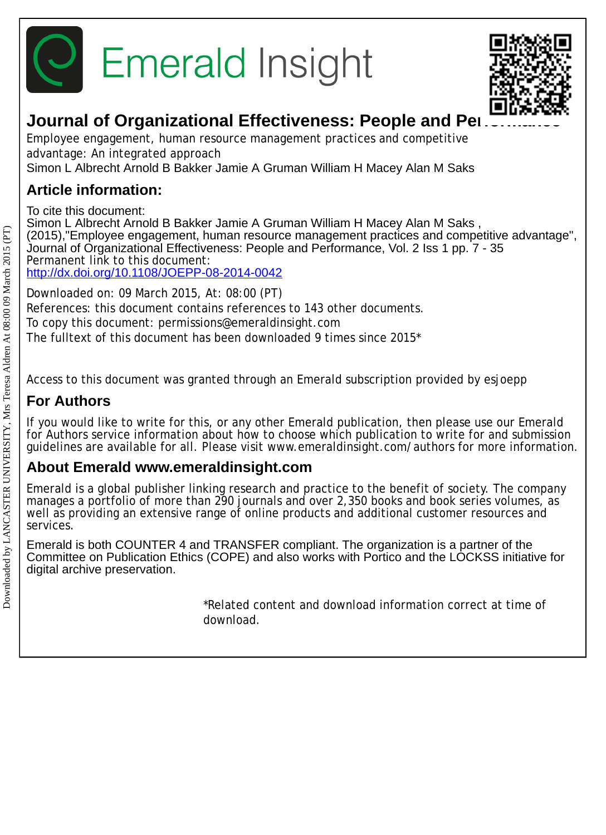



### **Journal of Organizational Effectiveness: People and Pereformal**

Employee engagement, human resource management practices and competitive advantage: An integrated approach

Simon L Albrecht Arnold B Bakker Jamie A Gruman William H Macey Alan M Saks

### **Article information:**

To cite this document:

Simon L Albrecht Arnold B Bakker Jamie A Gruman William H Macey Alan M Saks , (2015),"Employee engagement, human resource management practices and competitive advantage", Journal of Organizational Effectiveness: People and Performance, Vol. 2 Iss 1 pp. 7 - 35 Permanent link to this document: <http://dx.doi.org/10.1108/JOEPP-08-2014-0042>

Downloaded on: 09 March 2015, At: 08:00 (PT) References: this document contains references to 143 other documents. To copy this document: permissions@emeraldinsight.com The fulltext of this document has been downloaded 9 times since 2015\*

Access to this document was granted through an Emerald subscription provided by esjoepp

### **For Authors**

If you would like to write for this, or any other Emerald publication, then please use our Emerald for Authors service information about how to choose which publication to write for and submission guidelines are available for all. Please visit www.emeraldinsight.com/authors for more information.

### **About Emerald www.emeraldinsight.com**

Emerald is a global publisher linking research and practice to the benefit of society. The company manages a portfolio of more than 290 journals and over 2,350 books and book series volumes, as well as providing an extensive range of online products and additional customer resources and services.

Emerald is both COUNTER 4 and TRANSFER compliant. The organization is a partner of the Committee on Publication Ethics (COPE) and also works with Portico and the LOCKSS initiative for digital archive preservation.

> \*Related content and download information correct at time of download.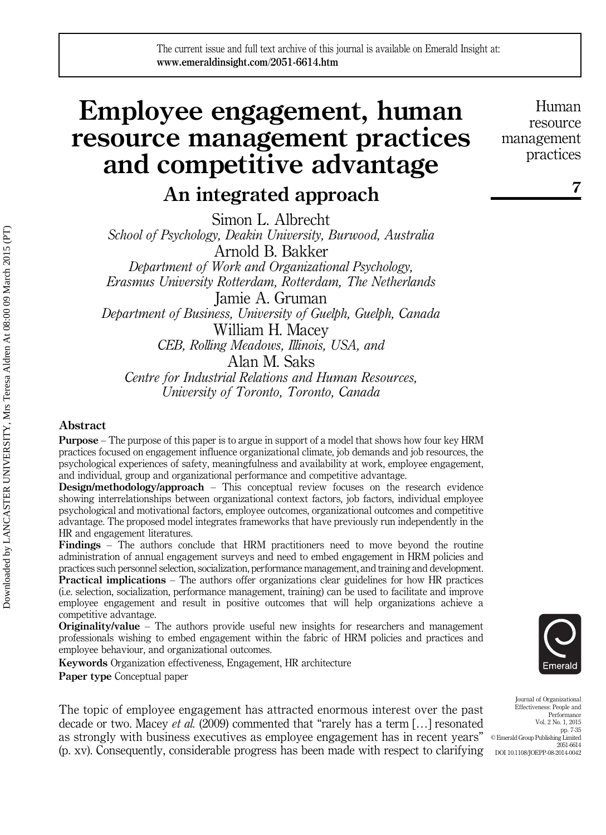## Employee engagement, human resource management practices and competitive advantage

### An integrated approach

Simon L. Albrecht School of Psychology, Deakin University, Burwood, Australia Arnold B. Bakker Department of Work and Organizational Psychology, Erasmus University Rotterdam, Rotterdam, The Netherlands Jamie A. Gruman Department of Business, University of Guelph, Guelph, Canada William H. Macey CEB, Rolling Meadows, Illinois, USA, and Alan M. Saks Centre for Industrial Relations and Human Resources, University of Toronto, Toronto, Canada

#### Abstract

Purpose – The purpose of this paper is to argue in support of a model that shows how four key HRM practices focused on engagement influence organizational climate, job demands and job resources, the psychological experiences of safety, meaningfulness and availability at work, employee engagement, and individual, group and organizational performance and competitive advantage.

Design/methodology/approach – This conceptual review focuses on the research evidence showing interrelationships between organizational context factors, job factors, individual employee psychological and motivational factors, employee outcomes, organizational outcomes and competitive advantage. The proposed model integrates frameworks that have previously run independently in the HR and engagement literatures.

Findings – The authors conclude that HRM practitioners need to move beyond the routine administration of annual engagement surveys and need to embed engagement in HRM policies and practices such personnel selection, socialization, performance management, and training and development. **Practical implications** – The authors offer organizations clear guidelines for how HR practices (i.e. selection, socialization, performance management, training) can be used to facilitate and improve employee engagement and result in positive outcomes that will help organizations achieve a competitive advantage.

Originality/value – The authors provide useful new insights for researchers and management professionals wishing to embed engagement within the fabric of HRM policies and practices and employee behaviour, and organizational outcomes.

Keywords Organization effectiveness, Engagement, HR architecture

Paper type Conceptual paper

The topic of employee engagement has attracted enormous interest over the past decade or two. Macey *et al.* (2009) commented that "rarely has a term [...] resonated as strongly with business executives as employee engagement has in recent years" (p. xv). Consequently, considerable progress has been made with respect to clarifying

Human resource management practices

7



Journal of Organizational Effectiveness: People and Performance Vol. 2 No. 1, 2015 pp. 7-35 © Emerald Group Publishing Limited 2051-6614 DOI 10.1108/JOEPP-08-2014-0042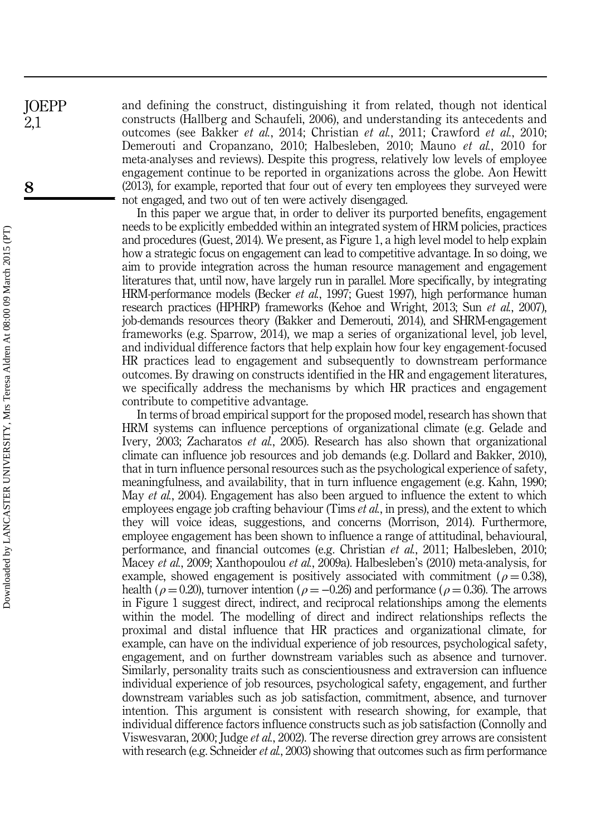and defining the construct, distinguishing it from related, though not identical constructs (Hallberg and Schaufeli, 2006), and understanding its antecedents and outcomes (see Bakker et al., 2014; Christian et al., 2011; Crawford et al., 2010; Demerouti and Cropanzano, 2010; Halbesleben, 2010; Mauno et al., 2010 for meta-analyses and reviews). Despite this progress, relatively low levels of employee engagement continue to be reported in organizations across the globe. Aon Hewitt (2013), for example, reported that four out of every ten employees they surveyed were not engaged, and two out of ten were actively disengaged.

In this paper we argue that, in order to deliver its purported benefits, engagement needs to be explicitly embedded within an integrated system of HRM policies, practices and procedures (Guest, 2014). We present, as Figure 1, a high level model to help explain how a strategic focus on engagement can lead to competitive advantage. In so doing, we aim to provide integration across the human resource management and engagement literatures that, until now, have largely run in parallel. More specifically, by integrating HRM-performance models (Becker et al., 1997; Guest 1997), high performance human research practices (HPHRP) frameworks (Kehoe and Wright, 2013; Sun et al., 2007), job-demands resources theory (Bakker and Demerouti, 2014), and SHRM-engagement frameworks (e.g. Sparrow, 2014), we map a series of organizational level, job level, and individual difference factors that help explain how four key engagement-focused HR practices lead to engagement and subsequently to downstream performance outcomes. By drawing on constructs identified in the HR and engagement literatures, we specifically address the mechanisms by which HR practices and engagement contribute to competitive advantage.

In terms of broad empirical support for the proposed model, research has shown that HRM systems can influence perceptions of organizational climate (e.g. Gelade and Ivery, 2003; Zacharatos et al., 2005). Research has also shown that organizational climate can influence job resources and job demands (e.g. Dollard and Bakker, 2010), that in turn influence personal resources such as the psychological experience of safety, meaningfulness, and availability, that in turn influence engagement (e.g. Kahn, 1990; May *et al.*, 2004). Engagement has also been argued to influence the extent to which employees engage job crafting behaviour (Tims *et al.*, in press), and the extent to which they will voice ideas, suggestions, and concerns (Morrison, 2014). Furthermore, employee engagement has been shown to influence a range of attitudinal, behavioural, performance, and financial outcomes (e.g. Christian et al., 2011; Halbesleben, 2010; Macey et al., 2009; Xanthopoulou et al., 2009a). Halbesleben's (2010) meta-analysis, for example, showed engagement is positively associated with commitment ( $\rho = 0.38$ ), health ( $\rho = 0.20$ ), turnover intention ( $\rho = -0.26$ ) and performance ( $\rho = 0.36$ ). The arrows in Figure 1 suggest direct, indirect, and reciprocal relationships among the elements within the model. The modelling of direct and indirect relationships reflects the proximal and distal influence that HR practices and organizational climate, for example, can have on the individual experience of job resources, psychological safety, engagement, and on further downstream variables such as absence and turnover. Similarly, personality traits such as conscientiousness and extraversion can influence individual experience of job resources, psychological safety, engagement, and further downstream variables such as job satisfaction, commitment, absence, and turnover intention. This argument is consistent with research showing, for example, that individual difference factors influence constructs such as job satisfaction (Connolly and Viswesvaran, 2000; Judge et al., 2002). The reverse direction grey arrows are consistent with research (e.g. Schneider *et al.*, 2003) showing that outcomes such as firm performance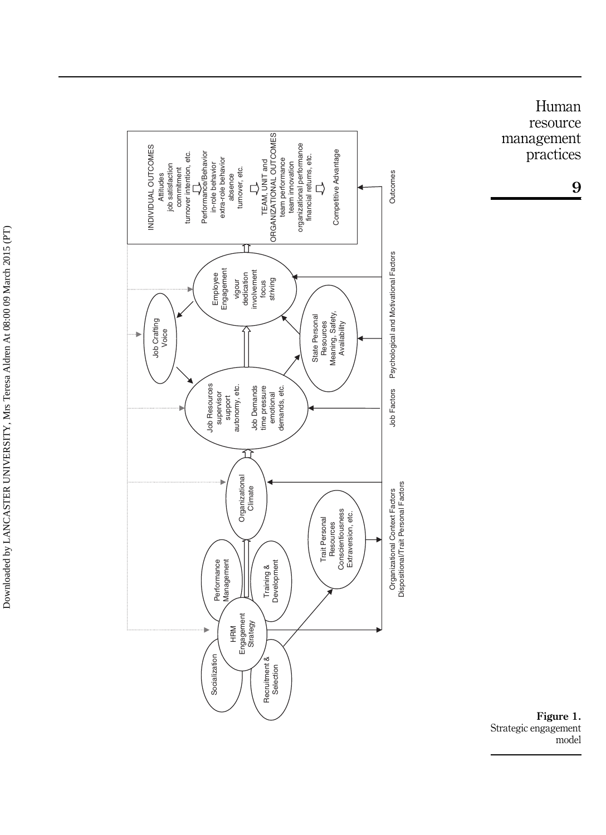

Human resource management practices



Downloaded by LANCASTER UNIVERSITY, Mrs Teresa Aldren At 08:00 09 March 2015 (PT) Downloaded by LANCASTER UNIVERSITY, Mrs Teresa Aldren At 08:00 09 March 2015 (PT)

Strategic engagement g<br>ure 1.<br>model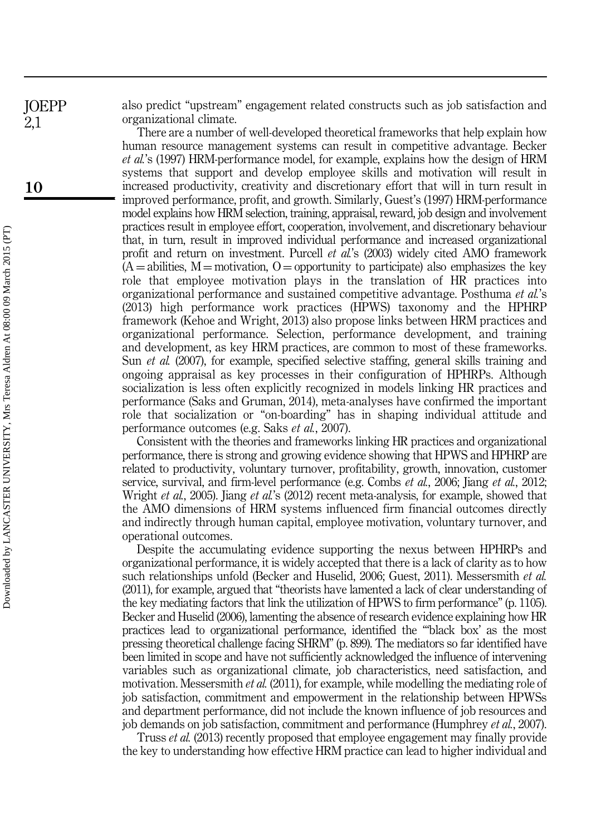also predict "upstream" engagement related constructs such as job satisfaction and organizational climate.

There are a number of well-developed theoretical frameworks that help explain how human resource management systems can result in competitive advantage. Becker et al.'s (1997) HRM-performance model, for example, explains how the design of HRM systems that support and develop employee skills and motivation will result in increased productivity, creativity and discretionary effort that will in turn result in improved performance, profit, and growth. Similarly, Guest's (1997) HRM-performance model explains how HRM selection, training, appraisal, reward, job design and involvement practices result in employee effort, cooperation, involvement, and discretionary behaviour that, in turn, result in improved individual performance and increased organizational profit and return on investment. Purcell et al's (2003) widely cited AMO framework  $(A =$ abilities, M = motivation, O = opportunity to participate) also emphasizes the key role that employee motivation plays in the translation of HR practices into organizational performance and sustained competitive advantage. Posthuma et al.'s (2013) high performance work practices (HPWS) taxonomy and the HPHRP framework (Kehoe and Wright, 2013) also propose links between HRM practices and organizational performance. Selection, performance development, and training and development, as key HRM practices, are common to most of these frameworks. Sun et al. (2007), for example, specified selective staffing, general skills training and ongoing appraisal as key processes in their configuration of HPHRPs. Although socialization is less often explicitly recognized in models linking HR practices and performance (Saks and Gruman, 2014), meta-analyses have confirmed the important role that socialization or "on-boarding" has in shaping individual attitude and performance outcomes (e.g. Saks et al., 2007).

Consistent with the theories and frameworks linking HR practices and organizational performance, there is strong and growing evidence showing that HPWS and HPHRP are related to productivity, voluntary turnover, profitability, growth, innovation, customer service, survival, and firm-level performance (e.g. Combs et al., 2006; Jiang et al., 2012; Wright *et al.*, 2005). Jiang *et al.*'s (2012) recent meta-analysis, for example, showed that the AMO dimensions of HRM systems influenced firm financial outcomes directly and indirectly through human capital, employee motivation, voluntary turnover, and operational outcomes.

Despite the accumulating evidence supporting the nexus between HPHRPs and organizational performance, it is widely accepted that there is a lack of clarity as to how such relationships unfold (Becker and Huselid, 2006; Guest, 2011). Messersmith et al. (2011), for example, argued that "theorists have lamented a lack of clear understanding of the key mediating factors that link the utilization of HPWS to firm performance" (p. 1105). Becker and Huselid (2006), lamenting the absence of research evidence explaining how HR practices lead to organizational performance, identified the "'black box' as the most pressing theoretical challenge facing SHRM" (p. 899). The mediators so far identified have been limited in scope and have not sufficiently acknowledged the influence of intervening variables such as organizational climate, job characteristics, need satisfaction, and motivation. Messersmith *et al.* (2011), for example, while modelling the mediating role of job satisfaction, commitment and empowerment in the relationship between HPWSs and department performance, did not include the known influence of job resources and job demands on job satisfaction, commitment and performance (Humphrey et al., 2007).

Truss et al. (2013) recently proposed that employee engagement may finally provide the key to understanding how effective HRM practice can lead to higher individual and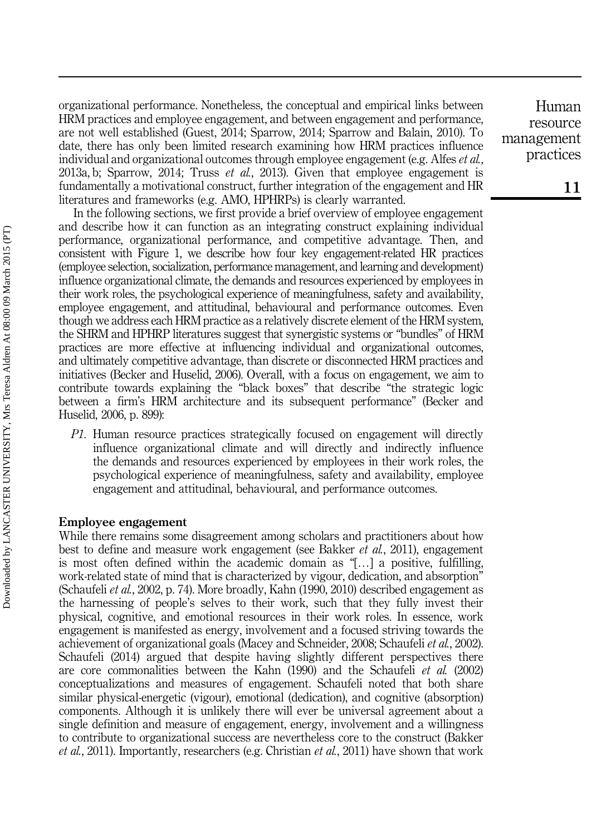organizational performance. Nonetheless, the conceptual and empirical links between HRM practices and employee engagement, and between engagement and performance, are not well established (Guest, 2014; Sparrow, 2014; Sparrow and Balain, 2010). To date, there has only been limited research examining how HRM practices influence individual and organizational outcomes through employee engagement (e.g. Alfes *et al.*, 2013a, b; Sparrow, 2014; Truss *et al.*, 2013). Given that employee engagement is fundamentally a motivational construct, further integration of the engagement and HR literatures and frameworks (e.g. AMO, HPHRPs) is clearly warranted.

In the following sections, we first provide a brief overview of employee engagement and describe how it can function as an integrating construct explaining individual performance, organizational performance, and competitive advantage. Then, and consistent with Figure 1, we describe how four key engagement-related HR practices (employee selection, socialization, performance management, and learning and development) influence organizational climate, the demands and resources experienced by employees in their work roles, the psychological experience of meaningfulness, safety and availability, employee engagement, and attitudinal, behavioural and performance outcomes. Even though we address each HRM practice as a relatively discrete element of the HRM system, the SHRM and HPHRP literatures suggest that synergistic systems or "bundles" of HRM practices are more effective at influencing individual and organizational outcomes, and ultimately competitive advantage, than discrete or disconnected HRM practices and initiatives (Becker and Huselid, 2006). Overall, with a focus on engagement, we aim to contribute towards explaining the "black boxes" that describe "the strategic logic between a firm's HRM architecture and its subsequent performance" (Becker and Huselid, 2006, p. 899):

P1. Human resource practices strategically focused on engagement will directly influence organizational climate and will directly and indirectly influence the demands and resources experienced by employees in their work roles, the psychological experience of meaningfulness, safety and availability, employee engagement and attitudinal, behavioural, and performance outcomes.

#### Employee engagement

While there remains some disagreement among scholars and practitioners about how best to define and measure work engagement (see Bakker et al., 2011), engagement is most often defined within the academic domain as "[…] a positive, fulfilling, work-related state of mind that is characterized by vigour, dedication, and absorption" (Schaufeli et al., 2002, p. 74). More broadly, Kahn (1990, 2010) described engagement as the harnessing of people's selves to their work, such that they fully invest their physical, cognitive, and emotional resources in their work roles. In essence, work engagement is manifested as energy, involvement and a focused striving towards the achievement of organizational goals (Macey and Schneider, 2008; Schaufeli et al., 2002). Schaufeli (2014) argued that despite having slightly different perspectives there are core commonalities between the Kahn (1990) and the Schaufeli et al. (2002) conceptualizations and measures of engagement. Schaufeli noted that both share similar physical-energetic (vigour), emotional (dedication), and cognitive (absorption) components. Although it is unlikely there will ever be universal agreement about a single definition and measure of engagement, energy, involvement and a willingness to contribute to organizational success are nevertheless core to the construct (Bakker *et al.*, 2011). Importantly, researchers (e.g. Christian *et al.*, 2011) have shown that work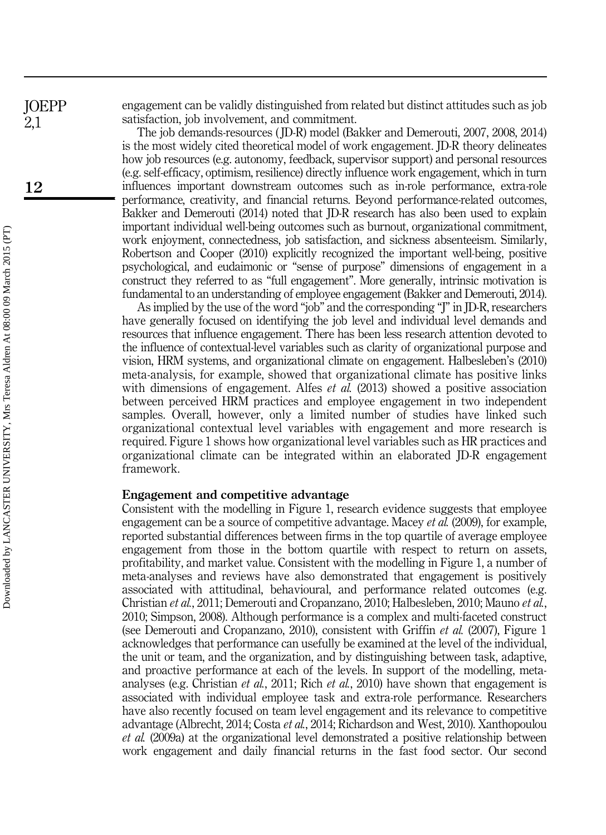engagement can be validly distinguished from related but distinct attitudes such as job satisfaction, job involvement, and commitment.

The job demands-resources ( JD-R) model (Bakker and Demerouti, 2007, 2008, 2014) is the most widely cited theoretical model of work engagement. JD-R theory delineates how job resources (e.g. autonomy, feedback, supervisor support) and personal resources (e.g. self-efficacy, optimism, resilience) directly influence work engagement, which in turn influences important downstream outcomes such as in-role performance, extra-role performance, creativity, and financial returns. Beyond performance-related outcomes, Bakker and Demerouti (2014) noted that JD-R research has also been used to explain important individual well-being outcomes such as burnout, organizational commitment, work enjoyment, connectedness, job satisfaction, and sickness absenteeism. Similarly, Robertson and Cooper (2010) explicitly recognized the important well-being, positive psychological, and eudaimonic or "sense of purpose" dimensions of engagement in a construct they referred to as "full engagement". More generally, intrinsic motivation is fundamental to an understanding of employee engagement (Bakker and Demerouti, 2014).

As implied by the use of the word "job" and the corresponding "J" in JD-R, researchers have generally focused on identifying the job level and individual level demands and resources that influence engagement. There has been less research attention devoted to the influence of contextual-level variables such as clarity of organizational purpose and vision, HRM systems, and organizational climate on engagement. Halbesleben's (2010) meta-analysis, for example, showed that organizational climate has positive links with dimensions of engagement. Alfes *et al.* (2013) showed a positive association between perceived HRM practices and employee engagement in two independent samples. Overall, however, only a limited number of studies have linked such organizational contextual level variables with engagement and more research is required. Figure 1 shows how organizational level variables such as HR practices and organizational climate can be integrated within an elaborated JD-R engagement framework.

#### Engagement and competitive advantage

Consistent with the modelling in Figure 1, research evidence suggests that employee engagement can be a source of competitive advantage. Macey *et al.* (2009), for example, reported substantial differences between firms in the top quartile of average employee engagement from those in the bottom quartile with respect to return on assets, profitability, and market value. Consistent with the modelling in Figure 1, a number of meta-analyses and reviews have also demonstrated that engagement is positively associated with attitudinal, behavioural, and performance related outcomes (e.g. Christian et al., 2011; Demerouti and Cropanzano, 2010; Halbesleben, 2010; Mauno et al., 2010; Simpson, 2008). Although performance is a complex and multi-faceted construct (see Demerouti and Cropanzano, 2010), consistent with Griffin et al. (2007), Figure 1 acknowledges that performance can usefully be examined at the level of the individual, the unit or team, and the organization, and by distinguishing between task, adaptive, and proactive performance at each of the levels. In support of the modelling, metaanalyses (e.g. Christian *et al.*, 2011; Rich *et al.*, 2010) have shown that engagement is associated with individual employee task and extra-role performance. Researchers have also recently focused on team level engagement and its relevance to competitive advantage (Albrecht, 2014; Costa et al., 2014; Richardson and West, 2010). Xanthopoulou et al. (2009a) at the organizational level demonstrated a positive relationship between work engagement and daily financial returns in the fast food sector. Our second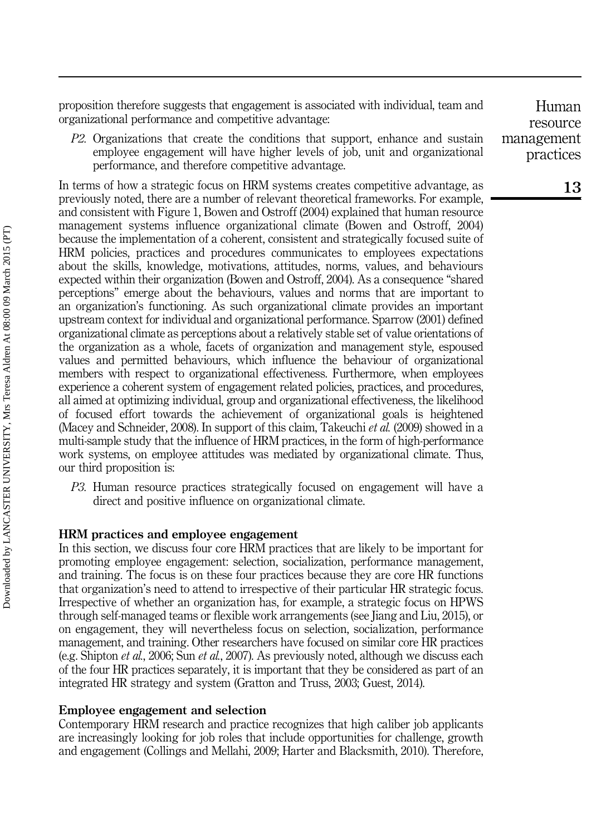proposition therefore suggests that engagement is associated with individual, team and organizational performance and competitive advantage:

P2. Organizations that create the conditions that support, enhance and sustain employee engagement will have higher levels of job, unit and organizational performance, and therefore competitive advantage.

In terms of how a strategic focus on HRM systems creates competitive advantage, as previously noted, there are a number of relevant theoretical frameworks. For example, and consistent with Figure 1, Bowen and Ostroff (2004) explained that human resource management systems influence organizational climate (Bowen and Ostroff, 2004) because the implementation of a coherent, consistent and strategically focused suite of HRM policies, practices and procedures communicates to employees expectations about the skills, knowledge, motivations, attitudes, norms, values, and behaviours expected within their organization (Bowen and Ostroff, 2004). As a consequence "shared perceptions" emerge about the behaviours, values and norms that are important to an organization's functioning. As such organizational climate provides an important upstream context for individual and organizational performance. Sparrow (2001) defined organizational climate as perceptions about a relatively stable set of value orientations of the organization as a whole, facets of organization and management style, espoused values and permitted behaviours, which influence the behaviour of organizational members with respect to organizational effectiveness. Furthermore, when employees experience a coherent system of engagement related policies, practices, and procedures, all aimed at optimizing individual, group and organizational effectiveness, the likelihood of focused effort towards the achievement of organizational goals is heightened (Macey and Schneider, 2008). In support of this claim, Takeuchi *et al.* (2009) showed in a multi-sample study that the influence of HRM practices, in the form of high-performance work systems, on employee attitudes was mediated by organizational climate. Thus, our third proposition is:

P3. Human resource practices strategically focused on engagement will have a direct and positive influence on organizational climate.

#### HRM practices and employee engagement

In this section, we discuss four core HRM practices that are likely to be important for promoting employee engagement: selection, socialization, performance management, and training. The focus is on these four practices because they are core HR functions that organization's need to attend to irrespective of their particular HR strategic focus. Irrespective of whether an organization has, for example, a strategic focus on HPWS through self-managed teams or flexible work arrangements (see Jiang and Liu, 2015), or on engagement, they will nevertheless focus on selection, socialization, performance management, and training. Other researchers have focused on similar core HR practices (e.g. Shipton et al., 2006; Sun et al., 2007). As previously noted, although we discuss each of the four HR practices separately, it is important that they be considered as part of an integrated HR strategy and system (Gratton and Truss, 2003; Guest, 2014).

#### Employee engagement and selection

Contemporary HRM research and practice recognizes that high caliber job applicants are increasingly looking for job roles that include opportunities for challenge, growth and engagement (Collings and Mellahi, 2009; Harter and Blacksmith, 2010). Therefore,

Human resource management practices

Downloaded by LANCASTER UNIVERSITY, Mrs Teresa Aldren At 08:00 09 March 2015 (PT) Downloaded by LANCASTER UNIVERSITY, Mrs Teresa Aldren At 08:00 09 March 2015 (PT)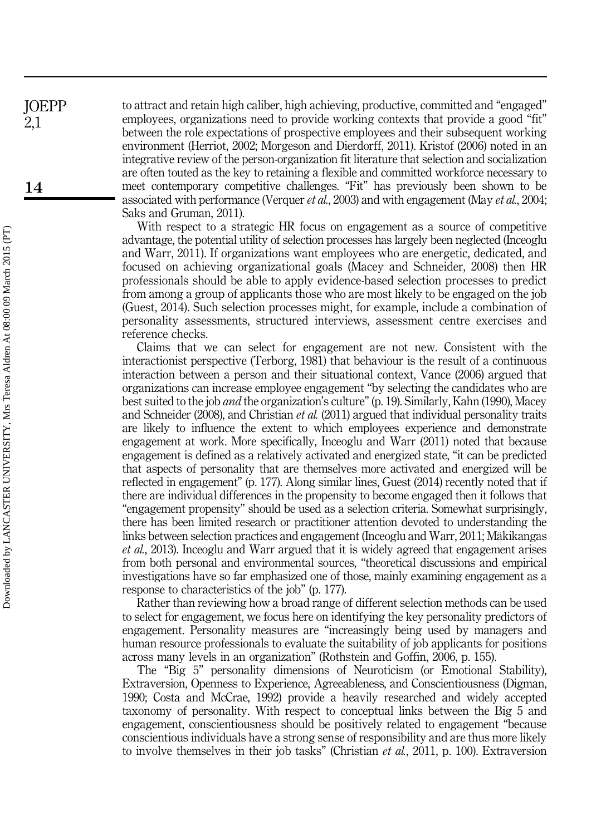to attract and retain high caliber, high achieving, productive, committed and "engaged" employees, organizations need to provide working contexts that provide a good "fit" between the role expectations of prospective employees and their subsequent working environment (Herriot, 2002; Morgeson and Dierdorff, 2011). Kristof (2006) noted in an integrative review of the person-organization fit literature that selection and socialization are often touted as the key to retaining a flexible and committed workforce necessary to meet contemporary competitive challenges. "Fit" has previously been shown to be associated with performance (Verquer et al., 2003) and with engagement (May et al., 2004; Saks and Gruman, 2011).

With respect to a strategic HR focus on engagement as a source of competitive advantage, the potential utility of selection processes has largely been neglected (Inceoglu and Warr, 2011). If organizations want employees who are energetic, dedicated, and focused on achieving organizational goals (Macey and Schneider, 2008) then HR professionals should be able to apply evidence-based selection processes to predict from among a group of applicants those who are most likely to be engaged on the job (Guest, 2014). Such selection processes might, for example, include a combination of personality assessments, structured interviews, assessment centre exercises and reference checks.

Claims that we can select for engagement are not new. Consistent with the interactionist perspective (Terborg, 1981) that behaviour is the result of a continuous interaction between a person and their situational context, Vance (2006) argued that organizations can increase employee engagement "by selecting the candidates who are best suited to the job and the organization's culture" (p. 19). Similarly, Kahn (1990), Macey and Schneider (2008), and Christian *et al.* (2011) argued that individual personality traits are likely to influence the extent to which employees experience and demonstrate engagement at work. More specifically, Inceoglu and Warr (2011) noted that because engagement is defined as a relatively activated and energized state, "it can be predicted that aspects of personality that are themselves more activated and energized will be reflected in engagement" (p. 177). Along similar lines, Guest (2014) recently noted that if there are individual differences in the propensity to become engaged then it follows that "engagement propensity" should be used as a selection criteria. Somewhat surprisingly, there has been limited research or practitioner attention devoted to understanding the links between selection practices and engagement (Inceoglu and Warr, 2011; Mäkikangas et al., 2013). Inceoglu and Warr argued that it is widely agreed that engagement arises from both personal and environmental sources, "theoretical discussions and empirical investigations have so far emphasized one of those, mainly examining engagement as a response to characteristics of the job" (p. 177).

Rather than reviewing how a broad range of different selection methods can be used to select for engagement, we focus here on identifying the key personality predictors of engagement. Personality measures are "increasingly being used by managers and human resource professionals to evaluate the suitability of job applicants for positions across many levels in an organization" (Rothstein and Goffin, 2006, p. 155).

The "Big 5" personality dimensions of Neuroticism (or Emotional Stability), Extraversion, Openness to Experience, Agreeableness, and Conscientiousness (Digman, 1990; Costa and McCrae, 1992) provide a heavily researched and widely accepted taxonomy of personality. With respect to conceptual links between the Big 5 and engagement, conscientiousness should be positively related to engagement "because conscientious individuals have a strong sense of responsibility and are thus more likely to involve themselves in their job tasks" (Christian et al., 2011, p. 100). Extraversion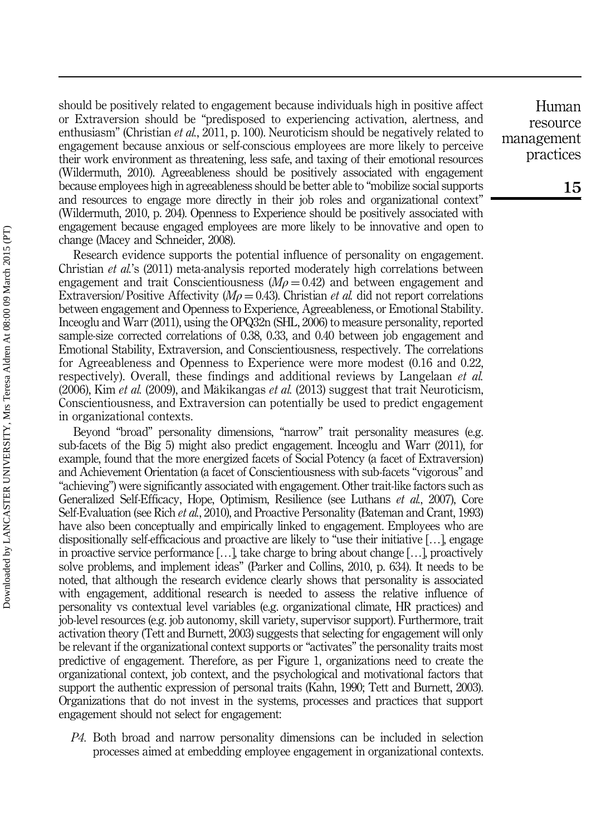should be positively related to engagement because individuals high in positive affect or Extraversion should be "predisposed to experiencing activation, alertness, and enthusiasm" (Christian et al., 2011, p. 100). Neuroticism should be negatively related to engagement because anxious or self-conscious employees are more likely to perceive their work environment as threatening, less safe, and taxing of their emotional resources (Wildermuth, 2010). Agreeableness should be positively associated with engagement because employees high in agreeableness should be better able to "mobilize social supports and resources to engage more directly in their job roles and organizational context" (Wildermuth, 2010, p. 204). Openness to Experience should be positively associated with engagement because engaged employees are more likely to be innovative and open to change (Macey and Schneider, 2008).

Research evidence supports the potential influence of personality on engagement. Christian et al.'s (2011) meta-analysis reported moderately high correlations between engagement and trait Conscientiousness  $(M\rho = 0.42)$  and between engagement and Extraversion/Positive Affectivity ( $M\rho = 0.43$ ). Christian *et al.* did not report correlations between engagement and Openness to Experience, Agreeableness, or Emotional Stability. Inceoglu and Warr (2011), using the OPQ32n (SHL, 2006) to measure personality, reported sample-size corrected correlations of 0.38, 0.33, and 0.40 between job engagement and Emotional Stability, Extraversion, and Conscientiousness, respectively. The correlations for Agreeableness and Openness to Experience were more modest (0.16 and 0.22, respectively). Overall, these findings and additional reviews by Langelaan et al. (2006), Kim *et al.* (2009), and Mäkikangas *et al.* (2013) suggest that trait Neuroticism, Conscientiousness, and Extraversion can potentially be used to predict engagement in organizational contexts.

Beyond "broad" personality dimensions, "narrow" trait personality measures (e.g. sub-facets of the Big 5) might also predict engagement. Inceoglu and Warr (2011), for example, found that the more energized facets of Social Potency (a facet of Extraversion) and Achievement Orientation (a facet of Conscientiousness with sub-facets "vigorous" and "achieving") were significantly associated with engagement. Other trait-like factors such as Generalized Self-Efficacy, Hope, Optimism, Resilience (see Luthans et al., 2007), Core Self-Evaluation (see Rich *et al.*, 2010), and Proactive Personality (Bateman and Crant, 1993) have also been conceptually and empirically linked to engagement. Employees who are dispositionally self-efficacious and proactive are likely to "use their initiative […], engage in proactive service performance […], take charge to bring about change […], proactively solve problems, and implement ideas" (Parker and Collins, 2010, p. 634). It needs to be noted, that although the research evidence clearly shows that personality is associated with engagement, additional research is needed to assess the relative influence of personality vs contextual level variables (e.g. organizational climate, HR practices) and job-level resources (e.g. job autonomy, skill variety, supervisor support). Furthermore, trait activation theory (Tett and Burnett, 2003) suggests that selecting for engagement will only be relevant if the organizational context supports or "activates" the personality traits most predictive of engagement. Therefore, as per Figure 1, organizations need to create the organizational context, job context, and the psychological and motivational factors that support the authentic expression of personal traits (Kahn, 1990; Tett and Burnett, 2003). Organizations that do not invest in the systems, processes and practices that support engagement should not select for engagement:

P4. Both broad and narrow personality dimensions can be included in selection processes aimed at embedding employee engagement in organizational contexts.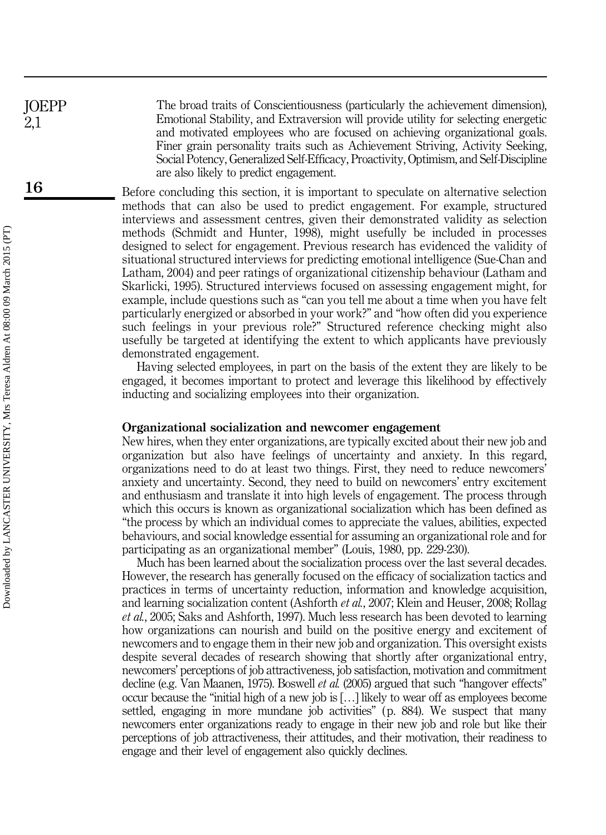The broad traits of Conscientiousness (particularly the achievement dimension), Emotional Stability, and Extraversion will provide utility for selecting energetic and motivated employees who are focused on achieving organizational goals. Finer grain personality traits such as Achievement Striving, Activity Seeking, Social Potency, Generalized Self-Efficacy, Proactivity, Optimism, and Self-Discipline are also likely to predict engagement. **JOEPP** 

> Before concluding this section, it is important to speculate on alternative selection methods that can also be used to predict engagement. For example, structured interviews and assessment centres, given their demonstrated validity as selection methods (Schmidt and Hunter, 1998), might usefully be included in processes designed to select for engagement. Previous research has evidenced the validity of situational structured interviews for predicting emotional intelligence (Sue-Chan and Latham, 2004) and peer ratings of organizational citizenship behaviour (Latham and Skarlicki, 1995). Structured interviews focused on assessing engagement might, for example, include questions such as "can you tell me about a time when you have felt particularly energized or absorbed in your work?" and "how often did you experience such feelings in your previous role?" Structured reference checking might also usefully be targeted at identifying the extent to which applicants have previously demonstrated engagement.

Having selected employees, in part on the basis of the extent they are likely to be engaged, it becomes important to protect and leverage this likelihood by effectively inducting and socializing employees into their organization.

#### Organizational socialization and newcomer engagement

New hires, when they enter organizations, are typically excited about their new job and organization but also have feelings of uncertainty and anxiety. In this regard, organizations need to do at least two things. First, they need to reduce newcomers' anxiety and uncertainty. Second, they need to build on newcomers' entry excitement and enthusiasm and translate it into high levels of engagement. The process through which this occurs is known as organizational socialization which has been defined as "the process by which an individual comes to appreciate the values, abilities, expected behaviours, and social knowledge essential for assuming an organizational role and for participating as an organizational member" (Louis, 1980, pp. 229-230).

Much has been learned about the socialization process over the last several decades. However, the research has generally focused on the efficacy of socialization tactics and practices in terms of uncertainty reduction, information and knowledge acquisition, and learning socialization content (Ashforth et al., 2007; Klein and Heuser, 2008; Rollag et al., 2005; Saks and Ashforth, 1997). Much less research has been devoted to learning how organizations can nourish and build on the positive energy and excitement of newcomers and to engage them in their new job and organization. This oversight exists despite several decades of research showing that shortly after organizational entry, newcomers' perceptions of job attractiveness, job satisfaction, motivation and commitment decline (e.g. Van Maanen, 1975). Boswell *et al.* (2005) argued that such "hangover effects" occur because the "initial high of a new job is […] likely to wear off as employees become settled, engaging in more mundane job activities" ( p. 884). We suspect that many newcomers enter organizations ready to engage in their new job and role but like their perceptions of job attractiveness, their attitudes, and their motivation, their readiness to engage and their level of engagement also quickly declines.

2,1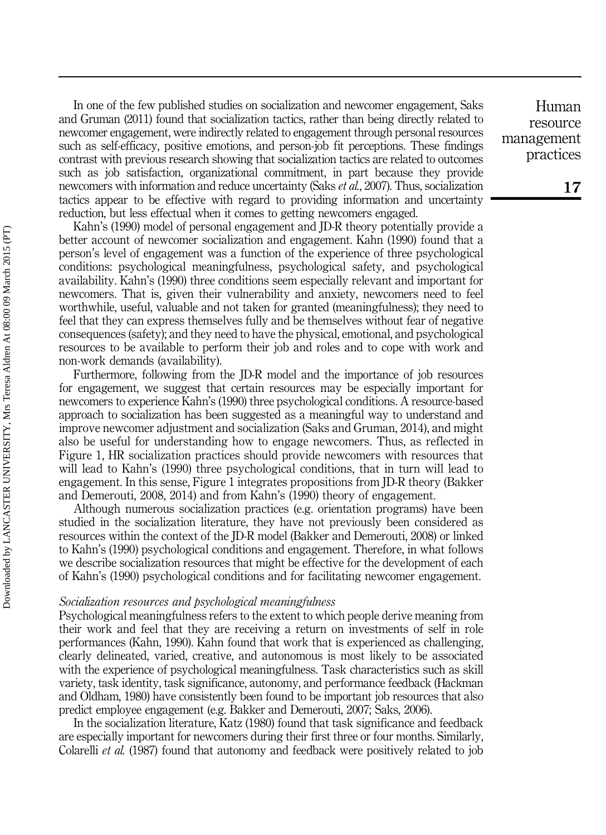In one of the few published studies on socialization and newcomer engagement, Saks and Gruman (2011) found that socialization tactics, rather than being directly related to newcomer engagement, were indirectly related to engagement through personal resources such as self-efficacy, positive emotions, and person-job fit perceptions. These findings contrast with previous research showing that socialization tactics are related to outcomes such as job satisfaction, organizational commitment, in part because they provide newcomers with information and reduce uncertainty (Saks et al., 2007). Thus, socialization tactics appear to be effective with regard to providing information and uncertainty reduction, but less effectual when it comes to getting newcomers engaged.

Kahn's (1990) model of personal engagement and JD-R theory potentially provide a better account of newcomer socialization and engagement. Kahn (1990) found that a person's level of engagement was a function of the experience of three psychological conditions: psychological meaningfulness, psychological safety, and psychological availability. Kahn's (1990) three conditions seem especially relevant and important for newcomers. That is, given their vulnerability and anxiety, newcomers need to feel worthwhile, useful, valuable and not taken for granted (meaningfulness); they need to feel that they can express themselves fully and be themselves without fear of negative consequences (safety); and they need to have the physical, emotional, and psychological resources to be available to perform their job and roles and to cope with work and non-work demands (availability).

Furthermore, following from the JD-R model and the importance of job resources for engagement, we suggest that certain resources may be especially important for newcomers to experience Kahn's (1990) three psychological conditions. A resource-based approach to socialization has been suggested as a meaningful way to understand and improve newcomer adjustment and socialization (Saks and Gruman, 2014), and might also be useful for understanding how to engage newcomers. Thus, as reflected in Figure 1, HR socialization practices should provide newcomers with resources that will lead to Kahn's (1990) three psychological conditions, that in turn will lead to engagement. In this sense, Figure 1 integrates propositions from JD-R theory (Bakker and Demerouti, 2008, 2014) and from Kahn's (1990) theory of engagement.

Although numerous socialization practices (e.g. orientation programs) have been studied in the socialization literature, they have not previously been considered as resources within the context of the JD-R model (Bakker and Demerouti, 2008) or linked to Kahn's (1990) psychological conditions and engagement. Therefore, in what follows we describe socialization resources that might be effective for the development of each of Kahn's (1990) psychological conditions and for facilitating newcomer engagement.

#### Socialization resources and psychological meaningfulness

Psychological meaningfulness refers to the extent to which people derive meaning from their work and feel that they are receiving a return on investments of self in role performances (Kahn, 1990). Kahn found that work that is experienced as challenging, clearly delineated, varied, creative, and autonomous is most likely to be associated with the experience of psychological meaningfulness. Task characteristics such as skill variety, task identity, task significance, autonomy, and performance feedback (Hackman and Oldham, 1980) have consistently been found to be important job resources that also predict employee engagement (e.g. Bakker and Demerouti, 2007; Saks, 2006).

In the socialization literature, Katz (1980) found that task significance and feedback are especially important for newcomers during their first three or four months. Similarly, Colarelli *et al.* (1987) found that autonomy and feedback were positively related to job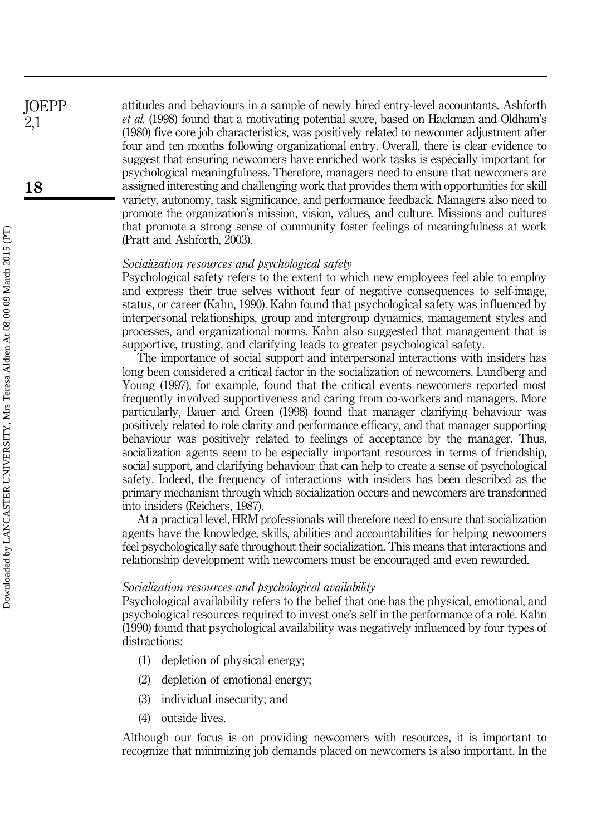attitudes and behaviours in a sample of newly hired entry-level accountants. Ashforth et al. (1998) found that a motivating potential score, based on Hackman and Oldham's (1980) five core job characteristics, was positively related to newcomer adjustment after four and ten months following organizational entry. Overall, there is clear evidence to suggest that ensuring newcomers have enriched work tasks is especially important for psychological meaningfulness. Therefore, managers need to ensure that newcomers are assigned interesting and challenging work that provides them with opportunities for skill variety, autonomy, task significance, and performance feedback. Managers also need to promote the organization's mission, vision, values, and culture. Missions and cultures that promote a strong sense of community foster feelings of meaningfulness at work (Pratt and Ashforth, 2003).

#### Socialization resources and psychological safety

Psychological safety refers to the extent to which new employees feel able to employ and express their true selves without fear of negative consequences to self-image, status, or career (Kahn, 1990). Kahn found that psychological safety was influenced by interpersonal relationships, group and intergroup dynamics, management styles and processes, and organizational norms. Kahn also suggested that management that is supportive, trusting, and clarifying leads to greater psychological safety.

The importance of social support and interpersonal interactions with insiders has long been considered a critical factor in the socialization of newcomers. Lundberg and Young (1997), for example, found that the critical events newcomers reported most frequently involved supportiveness and caring from co-workers and managers. More particularly, Bauer and Green (1998) found that manager clarifying behaviour was positively related to role clarity and performance efficacy, and that manager supporting behaviour was positively related to feelings of acceptance by the manager. Thus, socialization agents seem to be especially important resources in terms of friendship, social support, and clarifying behaviour that can help to create a sense of psychological safety. Indeed, the frequency of interactions with insiders has been described as the primary mechanism through which socialization occurs and newcomers are transformed into insiders (Reichers, 1987).

At a practical level, HRM professionals will therefore need to ensure that socialization agents have the knowledge, skills, abilities and accountabilities for helping newcomers feel psychologically safe throughout their socialization. This means that interactions and relationship development with newcomers must be encouraged and even rewarded.

#### Socialization resources and psychological availability

Psychological availability refers to the belief that one has the physical, emotional, and psychological resources required to invest one's self in the performance of a role. Kahn (1990) found that psychological availability was negatively influenced by four types of distractions:

- (1) depletion of physical energy;
- (2) depletion of emotional energy;
- (3) individual insecurity; and
- (4) outside lives.

Although our focus is on providing newcomers with resources, it is important to recognize that minimizing job demands placed on newcomers is also important. In the

**JOEPP** 2,1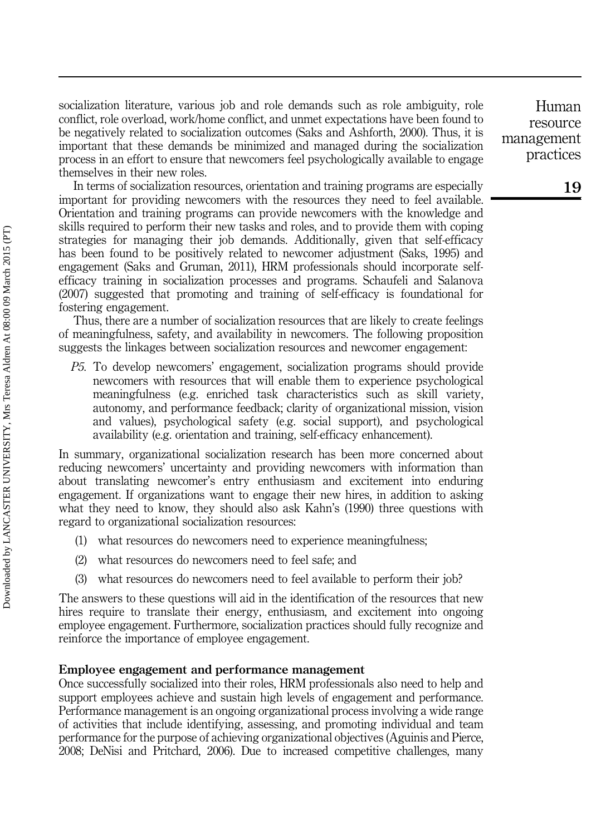socialization literature, various job and role demands such as role ambiguity, role conflict, role overload, work/home conflict, and unmet expectations have been found to be negatively related to socialization outcomes (Saks and Ashforth, 2000). Thus, it is important that these demands be minimized and managed during the socialization process in an effort to ensure that newcomers feel psychologically available to engage themselves in their new roles.

In terms of socialization resources, orientation and training programs are especially important for providing newcomers with the resources they need to feel available. Orientation and training programs can provide newcomers with the knowledge and skills required to perform their new tasks and roles, and to provide them with coping strategies for managing their job demands. Additionally, given that self-efficacy has been found to be positively related to newcomer adjustment (Saks, 1995) and engagement (Saks and Gruman, 2011), HRM professionals should incorporate selfefficacy training in socialization processes and programs. Schaufeli and Salanova (2007) suggested that promoting and training of self-efficacy is foundational for fostering engagement.

Thus, there are a number of socialization resources that are likely to create feelings of meaningfulness, safety, and availability in newcomers. The following proposition suggests the linkages between socialization resources and newcomer engagement:

P5. To develop newcomers' engagement, socialization programs should provide newcomers with resources that will enable them to experience psychological meaningfulness (e.g. enriched task characteristics such as skill variety, autonomy, and performance feedback; clarity of organizational mission, vision and values), psychological safety (e.g. social support), and psychological availability (e.g. orientation and training, self-efficacy enhancement).

In summary, organizational socialization research has been more concerned about reducing newcomers' uncertainty and providing newcomers with information than about translating newcomer's entry enthusiasm and excitement into enduring engagement. If organizations want to engage their new hires, in addition to asking what they need to know, they should also ask Kahn's (1990) three questions with regard to organizational socialization resources:

- (1) what resources do newcomers need to experience meaningfulness;
- (2) what resources do newcomers need to feel safe; and
- (3) what resources do newcomers need to feel available to perform their job?

The answers to these questions will aid in the identification of the resources that new hires require to translate their energy, enthusiasm, and excitement into ongoing employee engagement. Furthermore, socialization practices should fully recognize and reinforce the importance of employee engagement.

#### Employee engagement and performance management

Once successfully socialized into their roles, HRM professionals also need to help and support employees achieve and sustain high levels of engagement and performance. Performance management is an ongoing organizational process involving a wide range of activities that include identifying, assessing, and promoting individual and team performance for the purpose of achieving organizational objectives (Aguinis and Pierce, 2008; DeNisi and Pritchard, 2006). Due to increased competitive challenges, many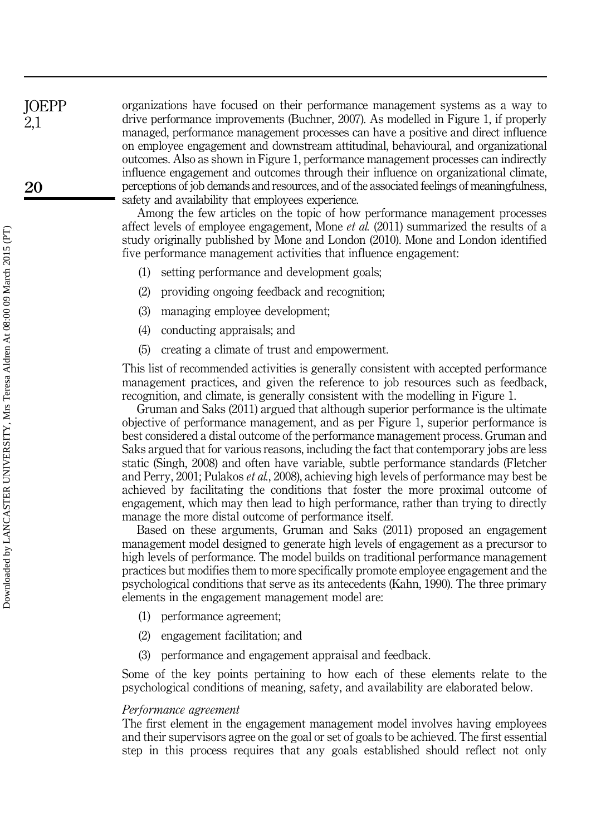organizations have focused on their performance management systems as a way to drive performance improvements (Buchner, 2007). As modelled in Figure 1, if properly managed, performance management processes can have a positive and direct influence on employee engagement and downstream attitudinal, behavioural, and organizational outcomes. Also as shown in Figure 1, performance management processes can indirectly influence engagement and outcomes through their influence on organizational climate, perceptions of job demands and resources, and of the associated feelings of meaningfulness, safety and availability that employees experience.

Among the few articles on the topic of how performance management processes affect levels of employee engagement, Mone et al. (2011) summarized the results of a study originally published by Mone and London (2010). Mone and London identified five performance management activities that influence engagement:

- (1) setting performance and development goals;
- (2) providing ongoing feedback and recognition;
- (3) managing employee development;
- (4) conducting appraisals; and
- (5) creating a climate of trust and empowerment.

This list of recommended activities is generally consistent with accepted performance management practices, and given the reference to job resources such as feedback, recognition, and climate, is generally consistent with the modelling in Figure 1.

Gruman and Saks (2011) argued that although superior performance is the ultimate objective of performance management, and as per Figure 1, superior performance is best considered a distal outcome of the performance management process. Gruman and Saks argued that for various reasons, including the fact that contemporary jobs are less static (Singh, 2008) and often have variable, subtle performance standards (Fletcher and Perry, 2001; Pulakos et al., 2008), achieving high levels of performance may best be achieved by facilitating the conditions that foster the more proximal outcome of engagement, which may then lead to high performance, rather than trying to directly manage the more distal outcome of performance itself.

Based on these arguments, Gruman and Saks (2011) proposed an engagement management model designed to generate high levels of engagement as a precursor to high levels of performance. The model builds on traditional performance management practices but modifies them to more specifically promote employee engagement and the psychological conditions that serve as its antecedents (Kahn, 1990). The three primary elements in the engagement management model are:

- (1) performance agreement;
- (2) engagement facilitation; and
- (3) performance and engagement appraisal and feedback.

Some of the key points pertaining to how each of these elements relate to the psychological conditions of meaning, safety, and availability are elaborated below.

#### Performance agreement

The first element in the engagement management model involves having employees and their supervisors agree on the goal or set of goals to be achieved. The first essential step in this process requires that any goals established should reflect not only

**IOEPP** 2,1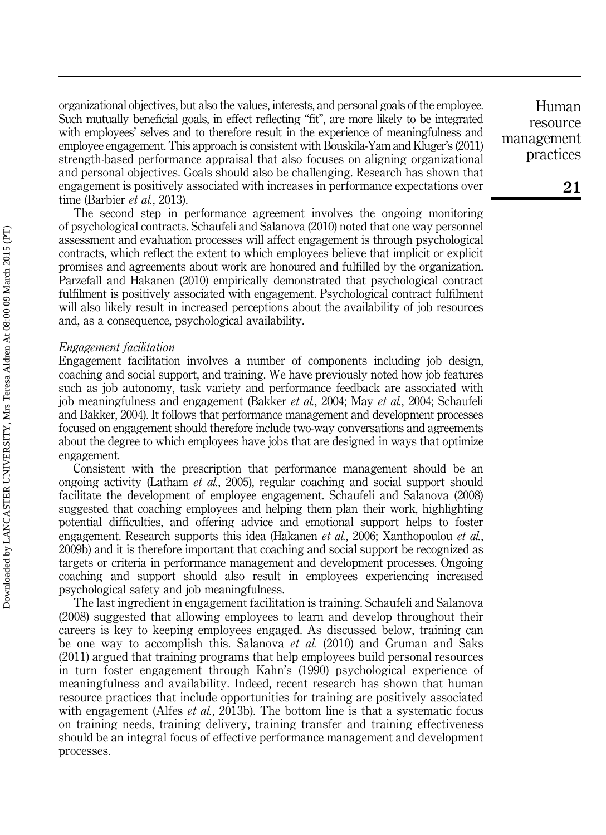organizational objectives, but also the values, interests, and personal goals of the employee. Such mutually beneficial goals, in effect reflecting "fit", are more likely to be integrated with employees' selves and to therefore result in the experience of meaningfulness and employee engagement. This approach is consistent with Bouskila-Yam and Kluger's (2011) strength-based performance appraisal that also focuses on aligning organizational and personal objectives. Goals should also be challenging. Research has shown that engagement is positively associated with increases in performance expectations over time (Barbier *et al.*, 2013).

The second step in performance agreement involves the ongoing monitoring of psychological contracts. Schaufeli and Salanova (2010) noted that one way personnel assessment and evaluation processes will affect engagement is through psychological contracts, which reflect the extent to which employees believe that implicit or explicit promises and agreements about work are honoured and fulfilled by the organization. Parzefall and Hakanen (2010) empirically demonstrated that psychological contract fulfilment is positively associated with engagement. Psychological contract fulfilment will also likely result in increased perceptions about the availability of job resources and, as a consequence, psychological availability.

#### Engagement facilitation

Engagement facilitation involves a number of components including job design, coaching and social support, and training. We have previously noted how job features such as job autonomy, task variety and performance feedback are associated with job meaningfulness and engagement (Bakker et al., 2004; May et al., 2004; Schaufeli and Bakker, 2004). It follows that performance management and development processes focused on engagement should therefore include two-way conversations and agreements about the degree to which employees have jobs that are designed in ways that optimize engagement.

Consistent with the prescription that performance management should be an ongoing activity (Latham *et al.*, 2005), regular coaching and social support should facilitate the development of employee engagement. Schaufeli and Salanova (2008) suggested that coaching employees and helping them plan their work, highlighting potential difficulties, and offering advice and emotional support helps to foster engagement. Research supports this idea (Hakanen *et al.*, 2006; Xanthopoulou *et al.*, 2009b) and it is therefore important that coaching and social support be recognized as targets or criteria in performance management and development processes. Ongoing coaching and support should also result in employees experiencing increased psychological safety and job meaningfulness.

The last ingredient in engagement facilitation is training. Schaufeli and Salanova (2008) suggested that allowing employees to learn and develop throughout their careers is key to keeping employees engaged. As discussed below, training can be one way to accomplish this. Salanova *et al.* (2010) and Gruman and Saks (2011) argued that training programs that help employees build personal resources in turn foster engagement through Kahn's (1990) psychological experience of meaningfulness and availability. Indeed, recent research has shown that human resource practices that include opportunities for training are positively associated with engagement (Alfes *et al.*, 2013b). The bottom line is that a systematic focus on training needs, training delivery, training transfer and training effectiveness should be an integral focus of effective performance management and development processes.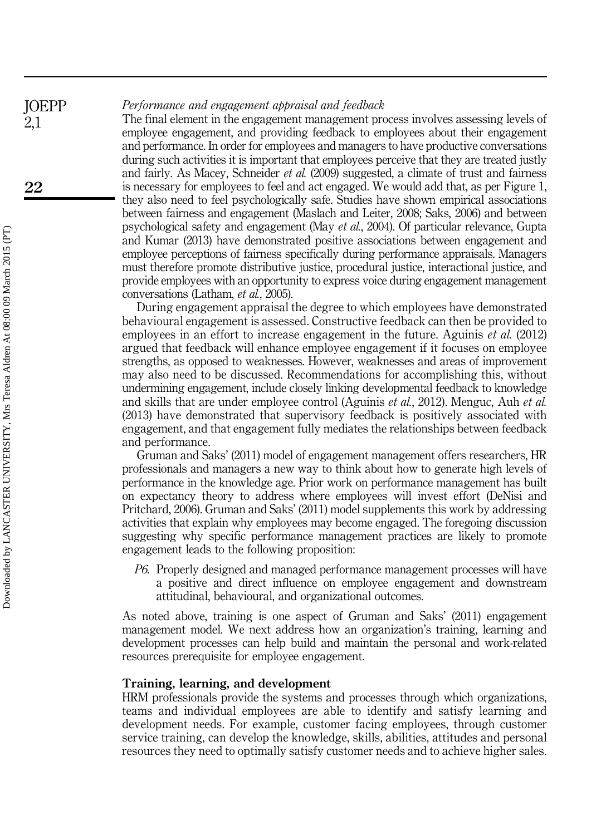Performance and engagement appraisal and feedback **JOEPP** 

> The final element in the engagement management process involves assessing levels of employee engagement, and providing feedback to employees about their engagement and performance. In order for employees and managers to have productive conversations during such activities it is important that employees perceive that they are treated justly and fairly. As Macey, Schneider et al. (2009) suggested, a climate of trust and fairness is necessary for employees to feel and act engaged. We would add that, as per Figure 1, they also need to feel psychologically safe. Studies have shown empirical associations between fairness and engagement (Maslach and Leiter, 2008; Saks, 2006) and between psychological safety and engagement (May et al., 2004). Of particular relevance, Gupta and Kumar (2013) have demonstrated positive associations between engagement and employee perceptions of fairness specifically during performance appraisals. Managers must therefore promote distributive justice, procedural justice, interactional justice, and provide employees with an opportunity to express voice during engagement management conversations (Latham, et al., 2005).

> During engagement appraisal the degree to which employees have demonstrated behavioural engagement is assessed. Constructive feedback can then be provided to employees in an effort to increase engagement in the future. Aguinis *et al.* (2012) argued that feedback will enhance employee engagement if it focuses on employee strengths, as opposed to weaknesses. However, weaknesses and areas of improvement may also need to be discussed. Recommendations for accomplishing this, without undermining engagement, include closely linking developmental feedback to knowledge and skills that are under employee control (Aguinis et al., 2012). Menguc, Auh et al. (2013) have demonstrated that supervisory feedback is positively associated with engagement, and that engagement fully mediates the relationships between feedback and performance.

> Gruman and Saks' (2011) model of engagement management offers researchers, HR professionals and managers a new way to think about how to generate high levels of performance in the knowledge age. Prior work on performance management has built on expectancy theory to address where employees will invest effort (DeNisi and Pritchard, 2006). Gruman and Saks' (2011) model supplements this work by addressing activities that explain why employees may become engaged. The foregoing discussion suggesting why specific performance management practices are likely to promote engagement leads to the following proposition:

P6. Properly designed and managed performance management processes will have a positive and direct influence on employee engagement and downstream attitudinal, behavioural, and organizational outcomes.

As noted above, training is one aspect of Gruman and Saks' (2011) engagement management model. We next address how an organization's training, learning and development processes can help build and maintain the personal and work-related resources prerequisite for employee engagement.

#### Training, learning, and development

HRM professionals provide the systems and processes through which organizations, teams and individual employees are able to identify and satisfy learning and development needs. For example, customer facing employees, through customer service training, can develop the knowledge, skills, abilities, attitudes and personal resources they need to optimally satisfy customer needs and to achieve higher sales.

2,1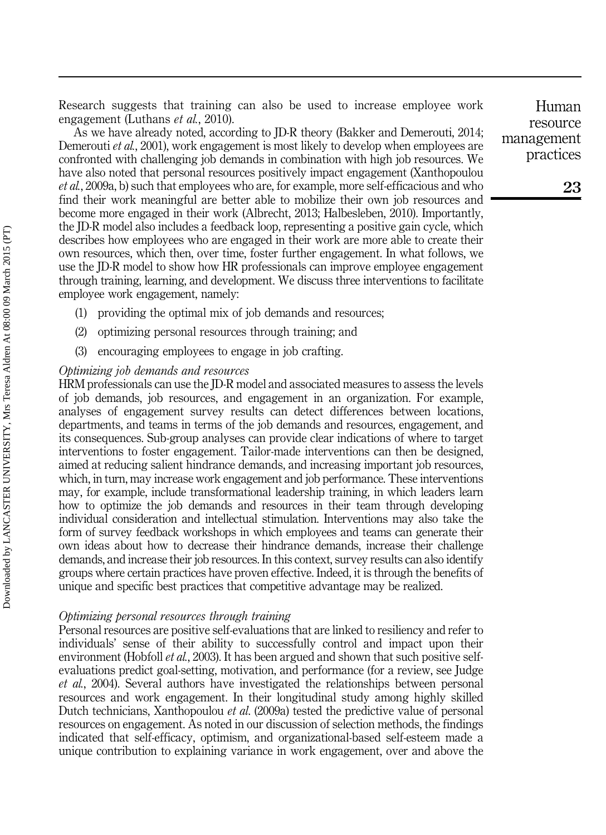Research suggests that training can also be used to increase employee work engagement (Luthans *et al.*, 2010).

As we have already noted, according to JD-R theory (Bakker and Demerouti, 2014; Demerouti *et al.*, 2001), work engagement is most likely to develop when employees are confronted with challenging job demands in combination with high job resources. We have also noted that personal resources positively impact engagement (Xanthopoulou et al., 2009a, b) such that employees who are, for example, more self-efficacious and who find their work meaningful are better able to mobilize their own job resources and become more engaged in their work (Albrecht, 2013; Halbesleben, 2010). Importantly, the JD-R model also includes a feedback loop, representing a positive gain cycle, which describes how employees who are engaged in their work are more able to create their own resources, which then, over time, foster further engagement. In what follows, we use the JD-R model to show how HR professionals can improve employee engagement through training, learning, and development. We discuss three interventions to facilitate employee work engagement, namely:

- (1) providing the optimal mix of job demands and resources;
- (2) optimizing personal resources through training; and
- (3) encouraging employees to engage in job crafting.

#### Optimizing job demands and resources

HRM professionals can use the JD-R model and associated measures to assess the levels of job demands, job resources, and engagement in an organization. For example, analyses of engagement survey results can detect differences between locations, departments, and teams in terms of the job demands and resources, engagement, and its consequences. Sub-group analyses can provide clear indications of where to target interventions to foster engagement. Tailor-made interventions can then be designed, aimed at reducing salient hindrance demands, and increasing important job resources, which, in turn, may increase work engagement and job performance. These interventions may, for example, include transformational leadership training, in which leaders learn how to optimize the job demands and resources in their team through developing individual consideration and intellectual stimulation. Interventions may also take the form of survey feedback workshops in which employees and teams can generate their own ideas about how to decrease their hindrance demands, increase their challenge demands, and increase their job resources. In this context, survey results can also identify groups where certain practices have proven effective. Indeed, it is through the benefits of unique and specific best practices that competitive advantage may be realized.

#### Optimizing personal resources through training

Personal resources are positive self-evaluations that are linked to resiliency and refer to individuals' sense of their ability to successfully control and impact upon their environment (Hobfoll *et al.*, 2003). It has been argued and shown that such positive selfevaluations predict goal-setting, motivation, and performance (for a review, see Judge et al., 2004). Several authors have investigated the relationships between personal resources and work engagement. In their longitudinal study among highly skilled Dutch technicians, Xanthopoulou *et al.* (2009a) tested the predictive value of personal resources on engagement. As noted in our discussion of selection methods, the findings indicated that self-efficacy, optimism, and organizational-based self-esteem made a unique contribution to explaining variance in work engagement, over and above the

Human resource management practices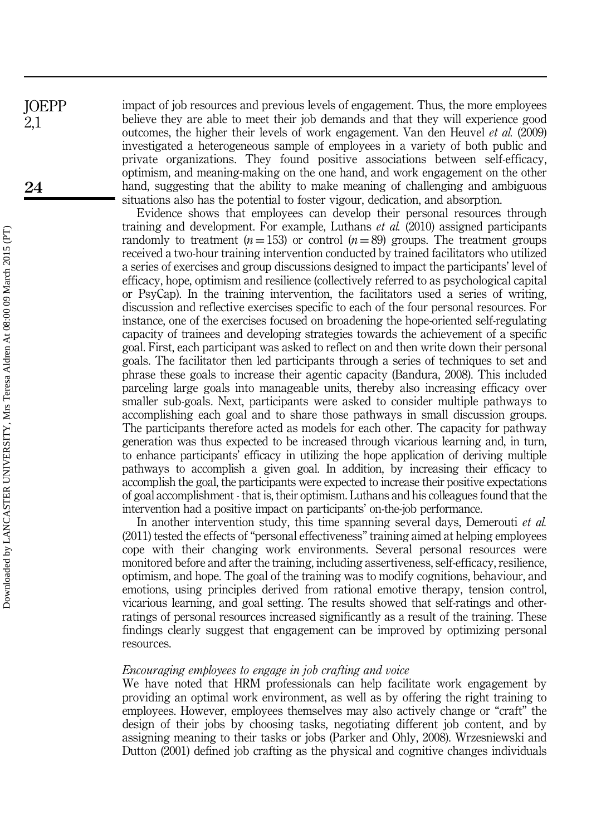impact of job resources and previous levels of engagement. Thus, the more employees believe they are able to meet their job demands and that they will experience good outcomes, the higher their levels of work engagement. Van den Heuvel et al. (2009) investigated a heterogeneous sample of employees in a variety of both public and private organizations. They found positive associations between self-efficacy, optimism, and meaning-making on the one hand, and work engagement on the other hand, suggesting that the ability to make meaning of challenging and ambiguous situations also has the potential to foster vigour, dedication, and absorption.

Evidence shows that employees can develop their personal resources through training and development. For example, Luthans et al. (2010) assigned participants randomly to treatment  $(n = 153)$  or control  $(n = 89)$  groups. The treatment groups received a two-hour training intervention conducted by trained facilitators who utilized a series of exercises and group discussions designed to impact the participants' level of efficacy, hope, optimism and resilience (collectively referred to as psychological capital or PsyCap). In the training intervention, the facilitators used a series of writing, discussion and reflective exercises specific to each of the four personal resources. For instance, one of the exercises focused on broadening the hope-oriented self-regulating capacity of trainees and developing strategies towards the achievement of a specific goal. First, each participant was asked to reflect on and then write down their personal goals. The facilitator then led participants through a series of techniques to set and phrase these goals to increase their agentic capacity (Bandura, 2008). This included parceling large goals into manageable units, thereby also increasing efficacy over smaller sub-goals. Next, participants were asked to consider multiple pathways to accomplishing each goal and to share those pathways in small discussion groups. The participants therefore acted as models for each other. The capacity for pathway generation was thus expected to be increased through vicarious learning and, in turn, to enhance participants' efficacy in utilizing the hope application of deriving multiple pathways to accomplish a given goal. In addition, by increasing their efficacy to accomplish the goal, the participants were expected to increase their positive expectations of goal accomplishment - that is, their optimism. Luthans and his colleagues found that the intervention had a positive impact on participants' on-the-job performance.

In another intervention study, this time spanning several days, Demerouti *et al.* (2011) tested the effects of "personal effectiveness" training aimed at helping employees cope with their changing work environments. Several personal resources were monitored before and after the training, including assertiveness, self-efficacy, resilience optimism, and hope. The goal of the training was to modify cognitions, behaviour, and emotions, using principles derived from rational emotive therapy, tension control, vicarious learning, and goal setting. The results showed that self-ratings and otherratings of personal resources increased significantly as a result of the training. These findings clearly suggest that engagement can be improved by optimizing personal resources.

#### Encouraging employees to engage in job crafting and voice

We have noted that HRM professionals can help facilitate work engagement by providing an optimal work environment, as well as by offering the right training to employees. However, employees themselves may also actively change or "craft" the design of their jobs by choosing tasks, negotiating different job content, and by assigning meaning to their tasks or jobs (Parker and Ohly, 2008). Wrzesniewski and Dutton (2001) defined job crafting as the physical and cognitive changes individuals

**JOEPP** 2,1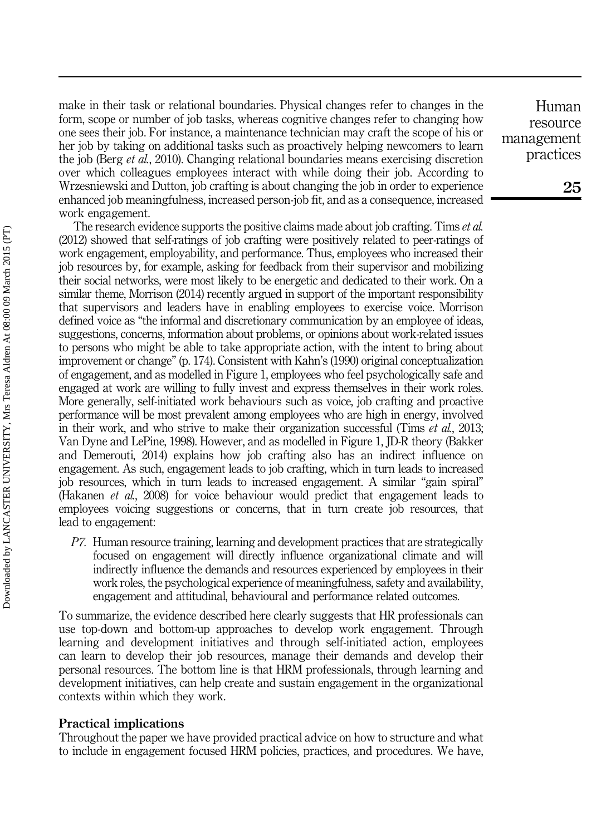make in their task or relational boundaries. Physical changes refer to changes in the form, scope or number of job tasks, whereas cognitive changes refer to changing how one sees their job. For instance, a maintenance technician may craft the scope of his or her job by taking on additional tasks such as proactively helping newcomers to learn the job (Berg et al., 2010). Changing relational boundaries means exercising discretion over which colleagues employees interact with while doing their job. According to Wrzesniewski and Dutton, job crafting is about changing the job in order to experience enhanced job meaningfulness, increased person-job fit, and as a consequence, increased work engagement.

The research evidence supports the positive claims made about job crafting. Tims *et al.* (2012) showed that self-ratings of job crafting were positively related to peer-ratings of work engagement, employability, and performance. Thus, employees who increased their job resources by, for example, asking for feedback from their supervisor and mobilizing their social networks, were most likely to be energetic and dedicated to their work. On a similar theme, Morrison (2014) recently argued in support of the important responsibility that supervisors and leaders have in enabling employees to exercise voice. Morrison defined voice as "the informal and discretionary communication by an employee of ideas, suggestions, concerns, information about problems, or opinions about work-related issues to persons who might be able to take appropriate action, with the intent to bring about improvement or change" (p. 174). Consistent with Kahn's (1990) original conceptualization of engagement, and as modelled in Figure 1, employees who feel psychologically safe and engaged at work are willing to fully invest and express themselves in their work roles. More generally, self-initiated work behaviours such as voice, job crafting and proactive performance will be most prevalent among employees who are high in energy, involved in their work, and who strive to make their organization successful (Tims *et al.*, 2013; Van Dyne and LePine, 1998). However, and as modelled in Figure 1, JD-R theory (Bakker and Demerouti, 2014) explains how job crafting also has an indirect influence on engagement. As such, engagement leads to job crafting, which in turn leads to increased job resources, which in turn leads to increased engagement. A similar "gain spiral" (Hakanen et al., 2008) for voice behaviour would predict that engagement leads to employees voicing suggestions or concerns, that in turn create job resources, that lead to engagement:

P7. Human resource training, learning and development practices that are strategically focused on engagement will directly influence organizational climate and will indirectly influence the demands and resources experienced by employees in their work roles, the psychological experience of meaningfulness, safety and availability, engagement and attitudinal, behavioural and performance related outcomes.

To summarize, the evidence described here clearly suggests that HR professionals can use top-down and bottom-up approaches to develop work engagement. Through learning and development initiatives and through self-initiated action, employees can learn to develop their job resources, manage their demands and develop their personal resources. The bottom line is that HRM professionals, through learning and development initiatives, can help create and sustain engagement in the organizational contexts within which they work.

#### Practical implications

Throughout the paper we have provided practical advice on how to structure and what to include in engagement focused HRM policies, practices, and procedures. We have,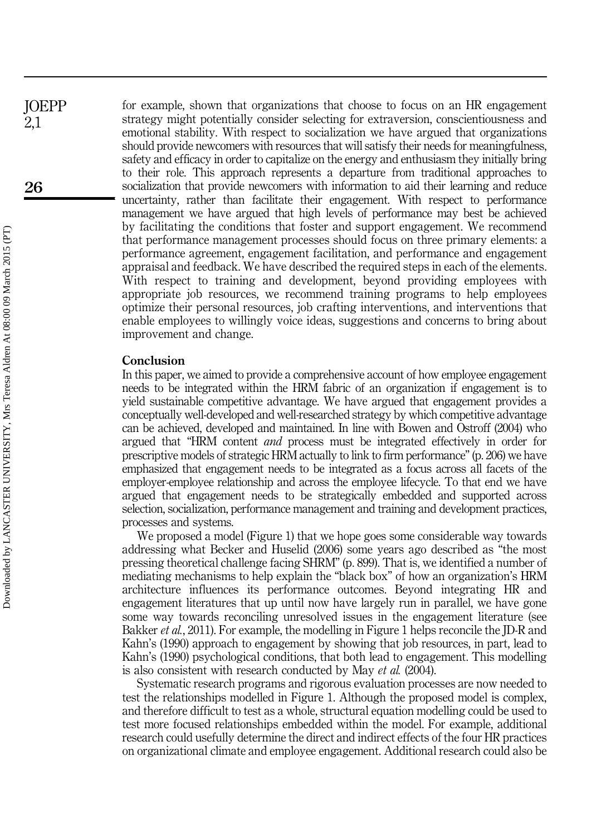for example, shown that organizations that choose to focus on an HR engagement strategy might potentially consider selecting for extraversion, conscientiousness and emotional stability. With respect to socialization we have argued that organizations should provide newcomers with resources that will satisfy their needs for meaningfulness, safety and efficacy in order to capitalize on the energy and enthusiasm they initially bring to their role. This approach represents a departure from traditional approaches to socialization that provide newcomers with information to aid their learning and reduce uncertainty, rather than facilitate their engagement. With respect to performance management we have argued that high levels of performance may best be achieved by facilitating the conditions that foster and support engagement. We recommend that performance management processes should focus on three primary elements: a performance agreement, engagement facilitation, and performance and engagement appraisal and feedback. We have described the required steps in each of the elements. With respect to training and development, beyond providing employees with appropriate job resources, we recommend training programs to help employees optimize their personal resources, job crafting interventions, and interventions that enable employees to willingly voice ideas, suggestions and concerns to bring about improvement and change.

#### Conclusion

In this paper, we aimed to provide a comprehensive account of how employee engagement needs to be integrated within the HRM fabric of an organization if engagement is to yield sustainable competitive advantage. We have argued that engagement provides a conceptually well-developed and well-researched strategy by which competitive advantage can be achieved, developed and maintained. In line with Bowen and Ostroff (2004) who argued that "HRM content *and* process must be integrated effectively in order for prescriptive models of strategic HRM actually to link to firm performance" (p. 206) we have emphasized that engagement needs to be integrated as a focus across all facets of the employer-employee relationship and across the employee lifecycle. To that end we have argued that engagement needs to be strategically embedded and supported across selection, socialization, performance management and training and development practices, processes and systems.

We proposed a model (Figure 1) that we hope goes some considerable way towards addressing what Becker and Huselid (2006) some years ago described as "the most pressing theoretical challenge facing SHRM" (p. 899). That is, we identified a number of mediating mechanisms to help explain the "black box" of how an organization's HRM architecture influences its performance outcomes. Beyond integrating HR and engagement literatures that up until now have largely run in parallel, we have gone some way towards reconciling unresolved issues in the engagement literature (see Bakker *et al.*, 2011). For example, the modelling in Figure 1 helps reconcile the JD-R and Kahn's (1990) approach to engagement by showing that job resources, in part, lead to Kahn's (1990) psychological conditions, that both lead to engagement. This modelling is also consistent with research conducted by May et al. (2004).

Systematic research programs and rigorous evaluation processes are now needed to test the relationships modelled in Figure 1. Although the proposed model is complex, and therefore difficult to test as a whole, structural equation modelling could be used to test more focused relationships embedded within the model. For example, additional research could usefully determine the direct and indirect effects of the four HR practices on organizational climate and employee engagement. Additional research could also be

**JOEPP** 2,1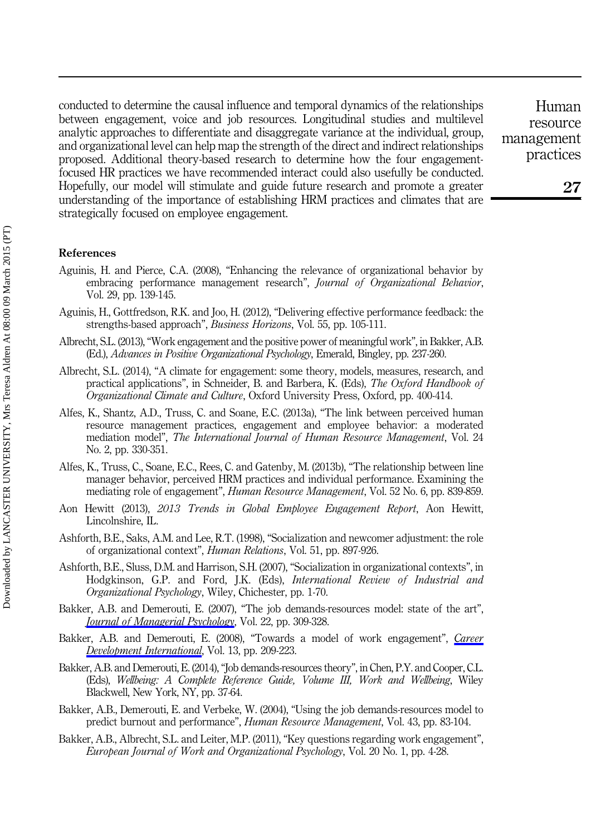conducted to determine the causal influence and temporal dynamics of the relationships between engagement, voice and job resources. Longitudinal studies and multilevel analytic approaches to differentiate and disaggregate variance at the individual, group, and organizational level can help map the strength of the direct and indirect relationships proposed. Additional theory-based research to determine how the four engagementfocused HR practices we have recommended interact could also usefully be conducted. Hopefully, our model will stimulate and guide future research and promote a greater understanding of the importance of establishing HRM practices and climates that are strategically focused on employee engagement.

References

- Aguinis, H. and Pierce, C.A. (2008), "Enhancing the relevance of organizational behavior by embracing performance management research", Journal of Organizational Behavior, Vol. 29, pp. 139-145.
- Aguinis, H., Gottfredson, R.K. and Joo, H. (2012), "Delivering effective performance feedback: the strengths-based approach", Business Horizons, Vol. 55, pp. 105-111.
- Albrecht, S.L. (2013),"Work engagement and the positive power of meaningful work", in Bakker, A.B. (Ed.), Advances in Positive Organizational Psychology, Emerald, Bingley, pp. 237-260.
- Albrecht, S.L. (2014), "A climate for engagement: some theory, models, measures, research, and practical applications", in Schneider, B. and Barbera, K. (Eds), The Oxford Handbook of Organizational Climate and Culture, Oxford University Press, Oxford, pp. 400-414.
- Alfes, K., Shantz, A.D., Truss, C. and Soane, E.C. (2013a), "The link between perceived human resource management practices, engagement and employee behavior: a moderated mediation model", The International Journal of Human Resource Management, Vol. 24 No. 2, pp. 330-351.
- Alfes, K., Truss, C., Soane, E.C., Rees, C. and Gatenby, M. (2013b), "The relationship between line manager behavior, perceived HRM practices and individual performance. Examining the mediating role of engagement", Human Resource Management, Vol. 52 No. 6, pp. 839-859.
- Aon Hewitt (2013), 2013 Trends in Global Employee Engagement Report, Aon Hewitt, Lincolnshire, IL.
- Ashforth, B.E., Saks, A.M. and Lee, R.T. (1998), "Socialization and newcomer adjustment: the role of organizational context", Human Relations, Vol. 51, pp. 897-926.
- Ashforth, B.E., Sluss, D.M. and Harrison, S.H. (2007), "Socialization in organizational contexts", in Hodgkinson, G.P. and Ford, J.K. (Eds), International Review of Industrial and Organizational Psychology, Wiley, Chichester, pp. 1-70.
- Bakker, A.B. and Demerouti, E. (2007), "The job demands-resources model: state of the art", **[Journal of Managerial Psychology](http://www.emeraldinsight.com/action/showLinks?system=10.1108%2F02683940710733115)**, Vol. 22, pp. 309-328.
- Bakker, A.B. and Demerouti, E. (2008), "Towards a model of work engagement", [Career](http://www.emeraldinsight.com/action/showLinks?system=10.1108%2F13620430810870476) [Development International](http://www.emeraldinsight.com/action/showLinks?system=10.1108%2F13620430810870476), Vol. 13, pp. 209-223.
- Bakker, A.B. and Demerouti, E. (2014),"Job demands-resources theory", in Chen, P.Y. and Cooper, C.L. (Eds), Wellbeing: A Complete Reference Guide, Volume III, Work and Wellbeing, Wiley Blackwell, New York, NY, pp. 37-64.
- Bakker, A.B., Demerouti, E. and Verbeke, W. (2004), "Using the job demands-resources model to predict burnout and performance", Human Resource Management, Vol. 43, pp. 83-104.
- Bakker, A.B., Albrecht, S.L. and Leiter, M.P. (2011), "Key questions regarding work engagement", European Journal of Work and Organizational Psychology, Vol. 20 No. 1, pp. 4-28.

Human resource management practices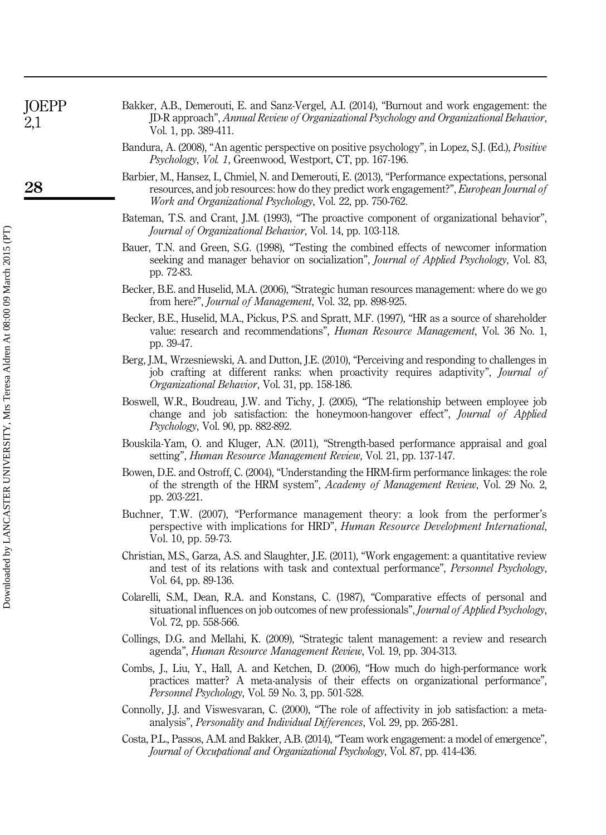| <b>JOEPP</b><br>2,1 | Bakker, A.B., Demerouti, E. and Sanz-Vergel, A.I. (2014), "Burnout and work engagement: the<br>[D-R approach", Annual Review of Organizational Psychology and Organizational Behavior<br>Vol. 1. pp. 389-411. |
|---------------------|---------------------------------------------------------------------------------------------------------------------------------------------------------------------------------------------------------------|
|                     | Bandura, A. (2008), "An agentic perspective on positive psychology", in Lopez, S.J. (Ed.), <i>Positive</i><br><i>Psychology, Vol. 1, Greenwood, Westport, CT, pp. 167-196.</i>                                |

- Barbier, M., Hansez, I., Chmiel, N. and Demerouti, E. (2013), "Performance expectations, personal resources, and job resources: how do they predict work engagement?", European Journal of Work and Organizational Psychology, Vol. 22, pp. 750-762.
- Bateman, T.S. and Crant, J.M. (1993), "The proactive component of organizational behavior", Journal of Organizational Behavior, Vol. 14, pp. 103-118.
- Bauer, T.N. and Green, S.G. (1998), "Testing the combined effects of newcomer information seeking and manager behavior on socialization", Journal of Applied Psychology, Vol. 83, pp. 72-83.
- Becker, B.E. and Huselid, M.A. (2006), "Strategic human resources management: where do we go from here?", Journal of Management, Vol. 32, pp. 898-925.
- Becker, B.E., Huselid, M.A., Pickus, P.S. and Spratt, M.F. (1997), "HR as a source of shareholder value: research and recommendations", Human Resource Management, Vol. 36 No. 1, pp. 39-47.
- Berg, J.M., Wrzesniewski, A. and Dutton, J.E. (2010), "Perceiving and responding to challenges in job crafting at different ranks: when proactivity requires adaptivity", Journal of Organizational Behavior, Vol. 31, pp. 158-186.
- Boswell, W.R., Boudreau, J.W. and Tichy, J. (2005), "The relationship between employee job change and job satisfaction: the honeymoon-hangover effect", Journal of Applied Psychology, Vol. 90, pp. 882-892.
- Bouskila-Yam, O. and Kluger, A.N. (2011), "Strength-based performance appraisal and goal setting", Human Resource Management Review, Vol. 21, pp. 137-147.
- Bowen, D.E. and Ostroff, C. (2004), "Understanding the HRM-firm performance linkages: the role of the strength of the HRM system", Academy of Management Review, Vol. 29 No. 2, pp. 203-221.
- Buchner, T.W. (2007), "Performance management theory: a look from the performer's perspective with implications for HRD", Human Resource Development International, Vol. 10, pp. 59-73.
- Christian, M.S., Garza, A.S. and Slaughter, J.E. (2011), "Work engagement: a quantitative review and test of its relations with task and contextual performance", Personnel Psychology, Vol. 64, pp. 89-136.
- Colarelli, S.M., Dean, R.A. and Konstans, C. (1987), "Comparative effects of personal and situational influences on job outcomes of new professionals", *Journal of Applied Psychology*, Vol. 72, pp. 558-566.
- Collings, D.G. and Mellahi, K. (2009), "Strategic talent management: a review and research agenda", Human Resource Management Review, Vol. 19, pp. 304-313.
- Combs, J., Liu, Y., Hall, A. and Ketchen, D. (2006), "How much do high-performance work practices matter? A meta-analysis of their effects on organizational performance", Personnel Psychology, Vol. 59 No. 3, pp. 501-528.
- Connolly, J.J. and Viswesvaran, C. (2000), "The role of affectivity in job satisfaction: a metaanalysis", Personality and Individual Differences, Vol. 29, pp. 265-281.
- Costa, P.L., Passos, A.M. and Bakker, A.B. (2014), "Team work engagement: a model of emergence", Journal of Occupational and Organizational Psychology, Vol. 87, pp. 414-436.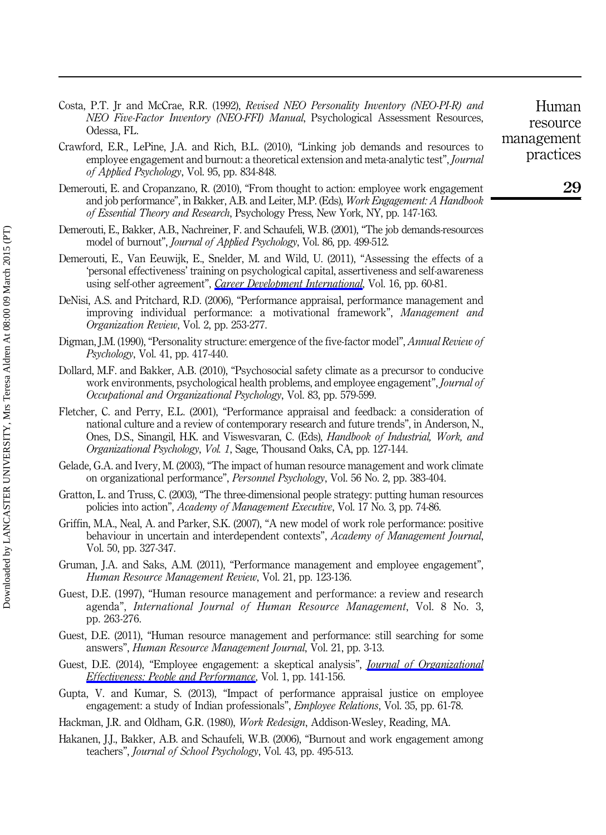- Costa, P.T. Jr and McCrae, R.R. (1992), Revised NEO Personality Inventory (NEO-PI-R) and NEO Five-Factor Inventory (NEO-FFI) Manual, Psychological Assessment Resources, Odessa, FL.
- Crawford, E.R., LePine, J.A. and Rich, B.L. (2010), "Linking job demands and resources to employee engagement and burnout: a theoretical extension and meta-analytic test", Journal of Applied Psychology, Vol. 95, pp. 834-848.
- Demerouti, E. and Cropanzano, R. (2010), "From thought to action: employee work engagement and job performance", in Bakker, A.B. and Leiter, M.P. (Eds), Work Engagement: A Handbook of Essential Theory and Research, Psychology Press, New York, NY, pp. 147-163.
- Demerouti, E., Bakker, A.B., Nachreiner, F. and Schaufeli, W.B. (2001), "The job demands-resources model of burnout", Journal of Applied Psychology, Vol. 86, pp. 499-512.
- Demerouti, E., Van Eeuwijk, E., Snelder, M. and Wild, U. (2011), "Assessing the effects of a 'personal effectiveness' training on psychological capital, assertiveness and self-awareness using self-other agreement", [Career Development International](http://www.emeraldinsight.com/action/showLinks?system=10.1108%2F13620431111107810), Vol. 16, pp. 60-81.
- DeNisi, A.S. and Pritchard, R.D. (2006), "Performance appraisal, performance management and improving individual performance: a motivational framework", Management and Organization Review, Vol. 2, pp. 253-277.
- Digman, J.M. (1990), "Personality structure: emergence of the five-factor model", *Annual Review of* Psychology, Vol. 41, pp. 417-440.
- Dollard, M.F. and Bakker, A.B. (2010), "Psychosocial safety climate as a precursor to conducive work environments, psychological health problems, and employee engagement", Journal of Occupational and Organizational Psychology, Vol. 83, pp. 579-599.
- Fletcher, C. and Perry, E.L. (2001), "Performance appraisal and feedback: a consideration of national culture and a review of contemporary research and future trends", in Anderson, N., Ones, D.S., Sinangil, H.K. and Viswesvaran, C. (Eds), Handbook of Industrial, Work, and Organizational Psychology, Vol. 1, Sage, Thousand Oaks, CA, pp. 127-144.
- Gelade, G.A. and Ivery, M. (2003), "The impact of human resource management and work climate on organizational performance", Personnel Psychology, Vol. 56 No. 2, pp. 383-404.
- Gratton, L. and Truss, C. (2003), "The three-dimensional people strategy: putting human resources policies into action", Academy of Management Executive, Vol. 17 No. 3, pp. 74-86.
- Griffin, M.A., Neal, A. and Parker, S.K. (2007), "A new model of work role performance: positive behaviour in uncertain and interdependent contexts", Academy of Management Journal, Vol. 50, pp. 327-347.
- Gruman, J.A. and Saks, A.M. (2011), "Performance management and employee engagement", Human Resource Management Review, Vol. 21, pp. 123-136.
- Guest, D.E. (1997), "Human resource management and performance: a review and research agenda", International Journal of Human Resource Management, Vol. 8 No. 3, pp. 263-276.
- Guest, D.E. (2011), "Human resource management and performance: still searching for some answers", Human Resource Management Journal, Vol. 21, pp. 3-13.
- Guest, D.E. (2014), "Employee engagement: a skeptical analysis", *[Journal of Organizational](http://www.emeraldinsight.com/action/showLinks?system=10.1108%2FJOEPP-04-2014-0017)* [Effectiveness: People and Performance](http://www.emeraldinsight.com/action/showLinks?system=10.1108%2FJOEPP-04-2014-0017), Vol. 1, pp. 141-156.
- Gupta, V. and Kumar, S. (2013), "Impact of performance appraisal justice on employee engagement: a study of Indian professionals", Employee Relations, Vol. 35, pp. 61-78.
- Hackman, J.R. and Oldham, G.R. (1980), Work Redesign, Addison-Wesley, Reading, MA.
- Hakanen, J.J., Bakker, A.B. and Schaufeli, W.B. (2006), "Burnout and work engagement among teachers", Journal of School Psychology, Vol. 43, pp. 495-513.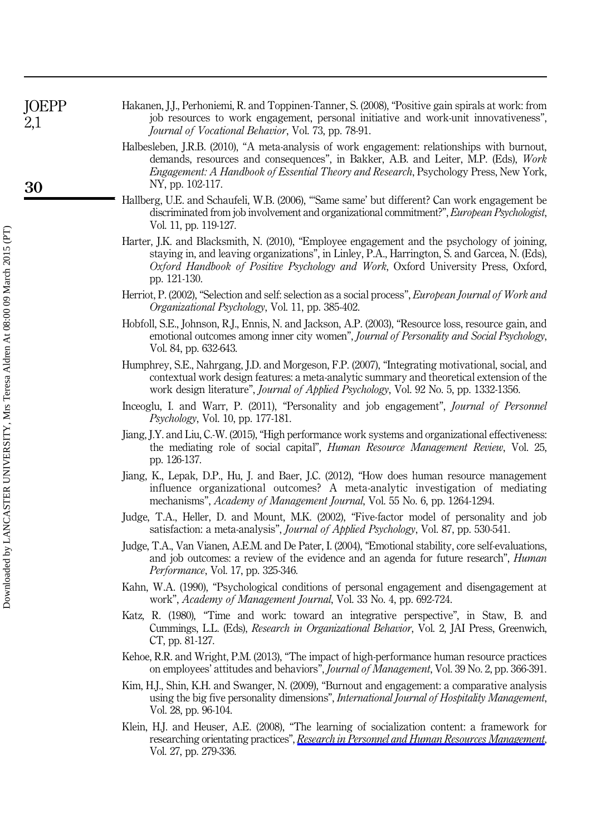| <b>JOEPP</b><br>2,1 | Hakanen, J.J., Perhoniemi, R. and Toppinen-Tanner, S. (2008), "Positive gain spirals at work: from<br>job resources to work engagement, personal initiative and work-unit innovativeness",<br><i>Journal of Vocational Behavior, Vol. 73, pp. 78-91.</i>                                              |
|---------------------|-------------------------------------------------------------------------------------------------------------------------------------------------------------------------------------------------------------------------------------------------------------------------------------------------------|
| 30                  | Halbesleben, J.R.B. (2010), "A meta-analysis of work engagement: relationships with burnout,<br>demands, resources and consequences", in Bakker, A.B. and Leiter, M.P. (Eds), Work<br><i>Engagement: A Handbook of Essential Theory and Research, Psychology Press, New York,</i><br>NY, pp. 102-117. |
|                     | Hallberg, U.E. and Schaufeli, W.B. (2006), "Same same' but different? Can work engagement be<br>discriminated from job involvement and organizational commitment?", European Psychologist,<br>Vol. 11, pp. 119-127.                                                                                   |
|                     | Harter, J.K. and Blacksmith, N. (2010), "Employee engagement and the psychology of joining,<br>staying in, and leaving organizations", in Linley, P.A., Harrington, S. and Garcea, N. (Eds),<br>Oxford Handbook of Positive Psychology and Work, Oxford University Press, Oxford,<br>pp. 121-130.     |
|                     | Herriot, P. (2002), "Selection and self: selection as a social process", <i>European Journal of Work and</i><br><i>Organizational Psychology, Vol. 11, pp. 385-402.</i>                                                                                                                               |

- Hobfoll, S.E., Johnson, R.J., Ennis, N. and Jackson, A.P. (2003), "Resource loss, resource gain, and emotional outcomes among inner city women", Journal of Personality and Social Psychology, Vol. 84, pp. 632-643.
- Humphrey, S.E., Nahrgang, J.D. and Morgeson, F.P. (2007), "Integrating motivational, social, and contextual work design features: a meta-analytic summary and theoretical extension of the work design literature", Journal of Applied Psychology, Vol. 92 No. 5, pp. 1332-1356.
- Inceoglu, I. and Warr, P. (2011), "Personality and job engagement", Journal of Personnel Psychology, Vol. 10, pp. 177-181.
- Jiang, J.Y. and Liu, C.-W. (2015), "High performance work systems and organizational effectiveness: the mediating role of social capital", Human Resource Management Review, Vol. 25, pp. 126-137.
- Jiang, K., Lepak, D.P., Hu, J. and Baer, J.C. (2012), "How does human resource management influence organizational outcomes? A meta-analytic investigation of mediating mechanisms", Academy of Management Journal, Vol. 55 No. 6, pp. 1264-1294.
- Judge, T.A., Heller, D. and Mount, M.K. (2002), "Five-factor model of personality and job satisfaction: a meta-analysis", *Journal of Applied Psychology*, Vol. 87, pp. 530-541.
- Judge, T.A., Van Vianen, A.E.M. and De Pater, I. (2004), "Emotional stability, core self-evaluations, and job outcomes: a review of the evidence and an agenda for future research", *Human* Performance, Vol. 17, pp. 325-346.
- Kahn, W.A. (1990), "Psychological conditions of personal engagement and disengagement at work", Academy of Management Journal, Vol. 33 No. 4, pp. 692-724.
- Katz, R. (1980), "Time and work: toward an integrative perspective", in Staw, B. and Cummings, L.L. (Eds), Research in Organizational Behavior, Vol. 2, JAI Press, Greenwich, CT, pp. 81-127.
- Kehoe, R.R. and Wright, P.M. (2013), "The impact of high-performance human resource practices on employees' attitudes and behaviors", Journal of Management, Vol. 39 No. 2, pp. 366-391.
- Kim, H.J., Shin, K.H. and Swanger, N. (2009), "Burnout and engagement: a comparative analysis using the big five personality dimensions", *International Journal of Hospitality Management*, Vol. 28, pp. 96-104.
- Klein, H.J. and Heuser, A.E. (2008), "The learning of socialization content: a framework for researching orientating practices", [Research in Personnel and Human Resources Management](http://www.emeraldinsight.com/action/showLinks?system=10.1016%2FS0742-7301%2808%2927007-6). Vol. 27, pp. 279-336.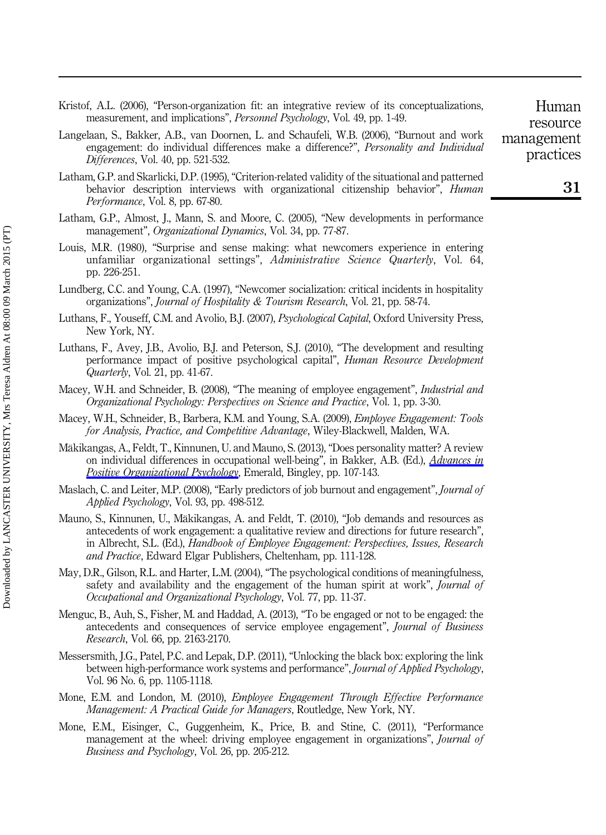- Kristof, A.L. (2006), "Person-organization fit: an integrative review of its conceptualizations, measurement, and implications", Personnel Psychology, Vol. 49, pp. 1-49.
- Langelaan, S., Bakker, A.B., van Doornen, L. and Schaufeli, W.B. (2006), "Burnout and work engagement: do individual differences make a difference?", Personality and Individual Differences, Vol. 40, pp. 521-532.
- Latham, G.P. and Skarlicki, D.P. (1995), "Criterion-related validity of the situational and patterned behavior description interviews with organizational citizenship behavior", *Human* Performance, Vol. 8, pp. 67-80.
- Latham, G.P., Almost, J., Mann, S. and Moore, C. (2005), "New developments in performance management", Organizational Dynamics, Vol. 34, pp. 77-87.
- Louis, M.R. (1980), "Surprise and sense making: what newcomers experience in entering unfamiliar organizational settings", Administrative Science Quarterly, Vol. 64, pp. 226-251.
- Lundberg, C.C. and Young, C.A. (1997), "Newcomer socialization: critical incidents in hospitality organizations", Journal of Hospitality & Tourism Research, Vol. 21, pp. 58-74.
- Luthans, F., Youseff, C.M. and Avolio, B.J. (2007), Psychological Capital, Oxford University Press, New York, NY.
- Luthans, F., Avey, J.B., Avolio, B.J. and Peterson, S.J. (2010), "The development and resulting performance impact of positive psychological capital", Human Resource Development Quarterly, Vol. 21, pp. 41-67.
- Macey, W.H. and Schneider, B. (2008), "The meaning of employee engagement", *Industrial and* Organizational Psychology: Perspectives on Science and Practice, Vol. 1, pp. 3-30.
- Macey, W.H., Schneider, B., Barbera, K.M. and Young, S.A. (2009), Employee Engagement: Tools for Analysis, Practice, and Competitive Advantage, Wiley-Blackwell, Malden, WA.
- Mäkikangas, A., Feldt, T., Kinnunen, U. and Mauno, S. (2013), "Does personality matter? A review on individual differences in occupational well-being", in Bakker, A.B. (Ed.), [Advances in](http://www.emeraldinsight.com/action/showLinks?system=10.1108%2FS2046-410X%282013%290000001008) [Positive Organizational Psychology](http://www.emeraldinsight.com/action/showLinks?system=10.1108%2FS2046-410X%282013%290000001008), Emerald, Bingley, pp. 107-143.
- Maslach, C. and Leiter, M.P. (2008), "Early predictors of job burnout and engagement", *Journal of* Applied Psychology, Vol. 93, pp. 498-512.
- Mauno, S., Kinnunen, U., Mäkikangas, A. and Feldt, T. (2010), "Job demands and resources as antecedents of work engagement: a qualitative review and directions for future research", in Albrecht, S.L. (Ed.), Handbook of Employee Engagement: Perspectives, Issues, Research and Practice, Edward Elgar Publishers, Cheltenham, pp. 111-128.
- May, D.R., Gilson, R.L. and Harter, L.M. (2004), "The psychological conditions of meaningfulness, safety and availability and the engagement of the human spirit at work", *Journal of* Occupational and Organizational Psychology, Vol. 77, pp. 11-37.
- Menguc, B., Auh, S., Fisher, M. and Haddad, A. (2013), "To be engaged or not to be engaged: the antecedents and consequences of service employee engagement", Journal of Business Research, Vol. 66, pp. 2163-2170.
- Messersmith, J.G., Patel, P.C. and Lepak, D.P. (2011), "Unlocking the black box: exploring the link between high-performance work systems and performance", Journal of Applied Psychology, Vol. 96 No. 6, pp. 1105-1118.
- Mone, E.M. and London, M. (2010), Employee Engagement Through Effective Performance Management: A Practical Guide for Managers, Routledge, New York, NY.
- Mone, E.M., Eisinger, C., Guggenheim, K., Price, B. and Stine, C. (2011), "Performance management at the wheel: driving employee engagement in organizations", *Journal of* Business and Psychology, Vol. 26, pp. 205-212.

resource management practices

Human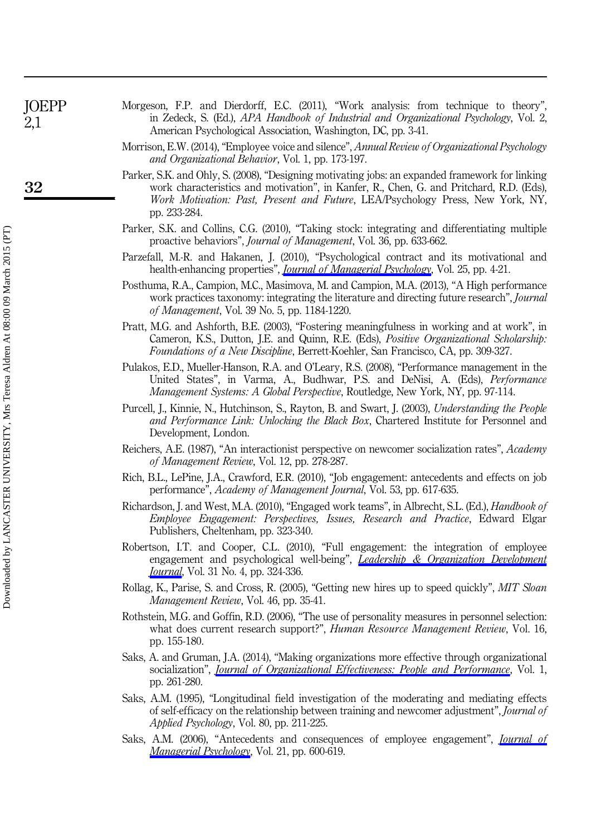| <b>JOEPP</b><br>2,1 | Morgeson, F.P. and Dierdorff, E.C. (2011), "Work analysis: from technique to theory"<br>in Zedeck, S. (Ed.), APA Handbook of Industrial and Organizational Psychology, Vol. 2.<br>American Psychological Association, Washington, DC, pp. 3-41. |
|---------------------|-------------------------------------------------------------------------------------------------------------------------------------------------------------------------------------------------------------------------------------------------|
|                     | Morrison, E.W. (2014), "Employee voice and silence", <i>Annual Review of Organizational Psychology</i><br><i>and Organizational Behavior, Vol. 1, pp. 173-197.</i>                                                                              |
|                     |                                                                                                                                                                                                                                                 |

Parker, S.K. and Ohly, S. (2008), "Designing motivating jobs: an expanded framework for linking work characteristics and motivation", in Kanfer, R., Chen, G. and Pritchard, R.D. (Eds), Work Motivation: Past, Present and Future, LEA/Psychology Press, New York, NY, pp. 233-284.

- Parker, S.K. and Collins, C.G. (2010), "Taking stock: integrating and differentiating multiple proactive behaviors", Journal of Management, Vol. 36, pp. 633-662.
- Parzefall, M.-R. and Hakanen, J. (2010), "Psychological contract and its motivational and health-enhancing properties", *[Journal of Managerial Psychology](http://www.emeraldinsight.com/action/showLinks?system=10.1108%2F02683941011013849)*, Vol. 25, pp. 4-21.
- Posthuma, R.A., Campion, M.C., Masimova, M. and Campion, M.A. (2013), "A High performance work practices taxonomy: integrating the literature and directing future research", *Journal* of Management, Vol. 39 No. 5, pp. 1184-1220.
- Pratt, M.G. and Ashforth, B.E. (2003), "Fostering meaningfulness in working and at work", in Cameron, K.S., Dutton, J.E. and Quinn, R.E. (Eds), Positive Organizational Scholarship: Foundations of a New Discipline, Berrett-Koehler, San Francisco, CA, pp. 309-327.
- Pulakos, E.D., Mueller-Hanson, R.A. and O'Leary, R.S. (2008), "Performance management in the United States", in Varma, A., Budhwar, P.S. and DeNisi, A. (Eds), Performance Management Systems: A Global Perspective, Routledge, New York, NY, pp. 97-114.
- Purcell, J., Kinnie, N., Hutchinson, S., Rayton, B. and Swart, J. (2003), Understanding the People and Performance Link: Unlocking the Black Box, Chartered Institute for Personnel and Development, London.
- Reichers, A.E. (1987), "An interactionist perspective on newcomer socialization rates", Academy of Management Review, Vol. 12, pp. 278-287.
- Rich, B.L., LePine, J.A., Crawford, E.R. (2010), "Job engagement: antecedents and effects on job performance", Academy of Management Journal, Vol. 53, pp. 617-635.
- Richardson, J. and West, M.A. (2010), "Engaged work teams", in Albrecht, S.L. (Ed.), Handbook of Employee Engagement: Perspectives, Issues, Research and Practice, Edward Elgar Publishers, Cheltenham, pp. 323-340.
- Robertson, I.T. and Cooper, C.L. (2010), "Full engagement: the integration of employee engagement and psychological well-being", *[Leadership & Organization Development](http://www.emeraldinsight.com/action/showLinks?system=10.1108%2F01437731011043348) [Journal](http://www.emeraldinsight.com/action/showLinks?system=10.1108%2F01437731011043348)*, Vol. 31 No. 4, pp. 324-336.
- Rollag, K., Parise, S. and Cross, R. (2005), "Getting new hires up to speed quickly", MIT Sloan Management Review, Vol. 46, pp. 35-41.
- Rothstein, M.G. and Goffin, R.D. (2006), "The use of personality measures in personnel selection: what does current research support?", Human Resource Management Review, Vol. 16, pp. 155-180.
- Saks, A. and Gruman, J.A. (2014), "Making organizations more effective through organizational socialization", *[Journal of Organizational Effectiveness: People and Performance](http://www.emeraldinsight.com/action/showLinks?system=10.1108%2FJOEPP-07-2014-0036)*, Vol. 1, pp. 261-280.
- Saks, A.M. (1995), "Longitudinal field investigation of the moderating and mediating effects of self-efficacy on the relationship between training and newcomer adjustment", Journal of Applied Psychology, Vol. 80, pp. 211-225.
- Saks, A.M. (2006), "Antecedents and consequences of employee engagement", *[Journal of](http://www.emeraldinsight.com/action/showLinks?system=10.1108%2F02683940610690169)* [Managerial Psychology](http://www.emeraldinsight.com/action/showLinks?system=10.1108%2F02683940610690169), Vol. 21, pp. 600-619.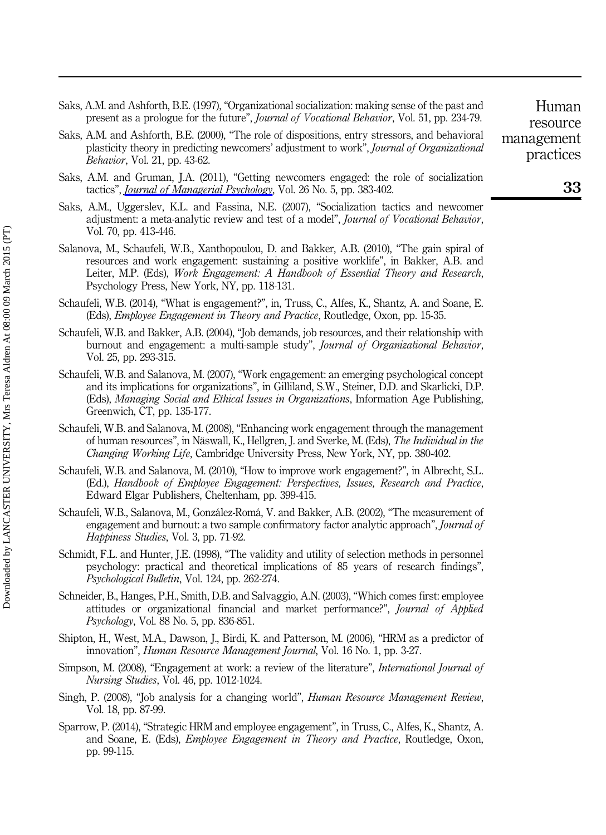- Saks, A.M. and Ashforth, B.E. (1997), "Organizational socialization: making sense of the past and present as a prologue for the future", Journal of Vocational Behavior, Vol. 51, pp. 234-79.
- Saks, A.M. and Ashforth, B.E. (2000), "The role of dispositions, entry stressors, and behavioral plasticity theory in predicting newcomers' adjustment to work", Journal of Organizational Behavior, Vol. 21, pp. 43-62.
- Saks, A.M. and Gruman, J.A. (2011), "Getting newcomers engaged: the role of socialization tactics", *[Journal of Managerial Psychology](http://www.emeraldinsight.com/action/showLinks?system=10.1108%2F02683941111139001)*, Vol. 26 No. 5, pp. 383-402.
- Saks, A.M., Uggerslev, K.L. and Fassina, N.E. (2007), "Socialization tactics and newcomer adjustment: a meta-analytic review and test of a model", Journal of Vocational Behavior, Vol. 70, pp. 413-446.
- Salanova, M., Schaufeli, W.B., Xanthopoulou, D. and Bakker, A.B. (2010), "The gain spiral of resources and work engagement: sustaining a positive worklife", in Bakker, A.B. and Leiter, M.P. (Eds), Work Engagement: A Handbook of Essential Theory and Research, Psychology Press, New York, NY, pp. 118-131.
- Schaufeli, W.B. (2014), "What is engagement?", in, Truss, C., Alfes, K., Shantz, A. and Soane, E. (Eds), Employee Engagement in Theory and Practice, Routledge, Oxon, pp. 15-35.
- Schaufeli, W.B. and Bakker, A.B. (2004), "Job demands, job resources, and their relationship with burnout and engagement: a multi-sample study", Journal of Organizational Behavior, Vol. 25, pp. 293-315.
- Schaufeli, W.B. and Salanova, M. (2007), "Work engagement: an emerging psychological concept and its implications for organizations", in Gilliland, S.W., Steiner, D.D. and Skarlicki, D.P. (Eds), Managing Social and Ethical Issues in Organizations, Information Age Publishing, Greenwich, CT, pp. 135-177.
- Schaufeli, W.B. and Salanova, M. (2008), "Enhancing work engagement through the management of human resources", in Näswall, K., Hellgren, J. and Sverke, M. (Eds), The Individual in the Changing Working Life, Cambridge University Press, New York, NY, pp. 380-402.
- Schaufeli, W.B. and Salanova, M. (2010), "How to improve work engagement?", in Albrecht, S.L. (Ed.), Handbook of Employee Engagement: Perspectives, Issues, Research and Practice, Edward Elgar Publishers, Cheltenham, pp. 399-415.
- Schaufeli, W.B., Salanova, M., González-Romá, V. and Bakker, A.B. (2002), "The measurement of engagement and burnout: a two sample confirmatory factor analytic approach", Journal of Happiness Studies, Vol. 3, pp. 71-92.
- Schmidt, F.L. and Hunter, J.E. (1998), "The validity and utility of selection methods in personnel psychology: practical and theoretical implications of 85 years of research findings", Psychological Bulletin, Vol. 124, pp. 262-274.
- Schneider, B., Hanges, P.H., Smith, D.B. and Salvaggio, A.N. (2003), "Which comes first: employee attitudes or organizational financial and market performance?", Journal of Applied Psychology, Vol. 88 No. 5, pp. 836-851.
- Shipton, H., West, M.A., Dawson, J., Birdi, K. and Patterson, M. (2006), "HRM as a predictor of innovation", Human Resource Management Journal, Vol. 16 No. 1, pp. 3-27.
- Simpson, M. (2008), "Engagement at work: a review of the literature", International Journal of Nursing Studies, Vol. 46, pp. 1012-1024.
- Singh, P. (2008), "Job analysis for a changing world", *Human Resource Management Review*, Vol. 18, pp. 87-99.
- Sparrow, P. (2014), "Strategic HRM and employee engagement", in Truss, C., Alfes, K., Shantz, A. and Soane, E. (Eds), Employee Engagement in Theory and Practice, Routledge, Oxon, pp. 99-115.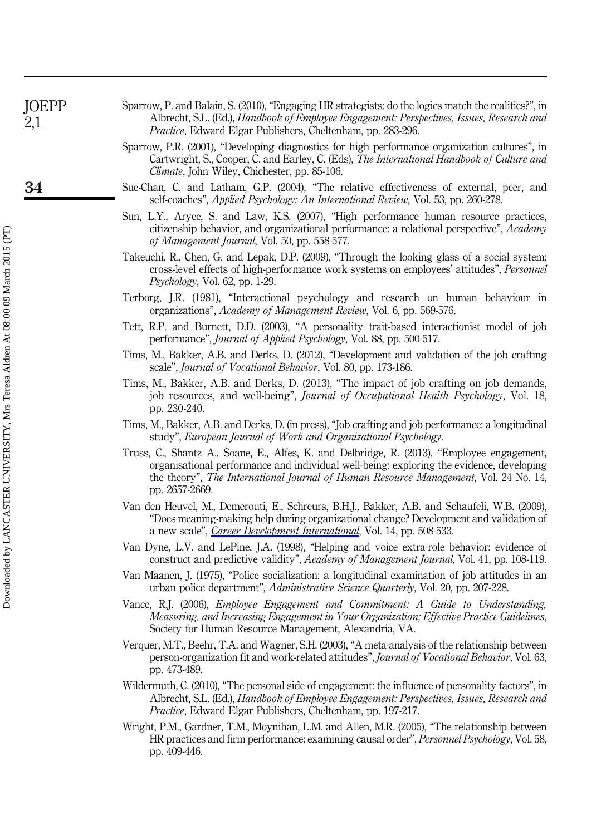| <b>JOEPP</b><br>2,1 | Sparrow, P. and Balain, S. (2010), "Engaging HR strategists: do the logics match the realities?", in<br>Albrecht, S.L. (Ed.), Handbook of Employee Engagement: Perspectives, Issues, Research and<br><i>Practice</i> , Edward Elgar Publishers, Cheltenham, pp. 283-296.                         |
|---------------------|--------------------------------------------------------------------------------------------------------------------------------------------------------------------------------------------------------------------------------------------------------------------------------------------------|
|                     | Sparrow, P.R. (2001), "Developing diagnostics for high performance organization cultures", in<br>Cartwright, S., Cooper, C. and Earley, C. (Eds), The International Handbook of Culture and<br><i>Climate</i> , John Wiley, Chichester, pp. 85-106.                                              |
| 34                  | Sue-Chan, C. and Latham, G.P. (2004), "The relative effectiveness of external, peer, and<br>self-coaches", <i>Applied Psychology: An International Review</i> , Vol. 53, pp. 260-278.                                                                                                            |
|                     | Sun, L.Y., Arvee, S. and Law, K.S. (2007), "High performance human resource practices,<br>citizenship behavior, and organizational performance: a relational perspective", Academy<br>of Management Journal, Vol. 50, pp. 558-577.                                                               |
|                     | Takeuchi, R., Chen, G. and Lepak, D.P. (2009), "Through the looking glass of a social system:<br>cross-level effects of high-performance work systems on employees' attitudes", <i>Personnel</i><br>$P$ sychology, Vol. 62, pp. 1-29.                                                            |
|                     | Terborg, J.R. (1981), "Interactional psychology and research on human behaviour in<br>organizations", <i>Academy of Management Review</i> , Vol. 6, pp. 569-576.                                                                                                                                 |
|                     | Tett, R.P. and Burnett, D.D. (2003), "A personality trait-based interactionist model of job<br>performance", <i>Journal of Applied Psychology</i> , Vol. 88, pp. 500-517.                                                                                                                        |
|                     | Tims, M., Bakker, A.B. and Derks, D. (2012), "Development and validation of the job crafting<br>scale", Journal of Vocational Behavior, Vol. 80, pp. 173-186.                                                                                                                                    |
|                     | Tims, M., Bakker, A.B. and Derks, D. (2013), "The impact of job crafting on job demands,<br>job resources, and well-being", Journal of Occupational Health Psychology, Vol. 18,<br>pp. 230-240.                                                                                                  |
|                     | Tims, M., Bakker, A.B. and Derks, D. (in press), "Job crafting and job performance: a longitudinal<br>study", European Journal of Work and Organizational Psychology.                                                                                                                            |
|                     | Truss, C., Shantz A., Soane, E., Alfes, K. and Delbridge, R. (2013), "Employee engagement,<br>organisational performance and individual well-being; exploring the evidence, developing<br>the theory", The International Journal of Human Resource Management, Vol. 24 No. 14,<br>pp. 2657-2669. |

- Van den Heuvel, M., Demerouti, E., Schreurs, B.H.J., Bakker, A.B. and Schaufeli, W.B. (2009), "Does meaning-making help during organizational change? Development and validation of a new scale", [Career Development International](http://www.emeraldinsight.com/action/showLinks?system=10.1108%2F13620430910997277), Vol. 14, pp. 508-533.
- Van Dyne, L.V. and LePine, J.A. (1998), "Helping and voice extra-role behavior: evidence of construct and predictive validity", Academy of Management Journal, Vol. 41, pp. 108-119.
- Van Maanen, J. (1975), "Police socialization: a longitudinal examination of job attitudes in an urban police department", Administrative Science Quarterly, Vol. 20, pp. 207-228.
- Vance, R.J. (2006), Employee Engagement and Commitment: A Guide to Understanding, Measuring, and Increasing Engagement in Your Organization; Effective Practice Guidelines, Society for Human Resource Management, Alexandria, VA.
- Verquer, M.T., Beehr, T.A. and Wagner, S.H. (2003), "A meta-analysis of the relationship between person-organization fit and work-related attitudes", Journal of Vocational Behavior, Vol. 63, pp. 473-489.
- Wildermuth, C. (2010), "The personal side of engagement: the influence of personality factors", in Albrecht, S.L. (Ed.), Handbook of Employee Engagement: Perspectives, Issues, Research and Practice, Edward Elgar Publishers, Cheltenham, pp. 197-217.
- Wright, P.M., Gardner, T.M., Moynihan, L.M. and Allen, M.R. (2005), "The relationship between HR practices and firm performance: examining causal order", Personnel Psychology, Vol. 58, pp. 409-446.